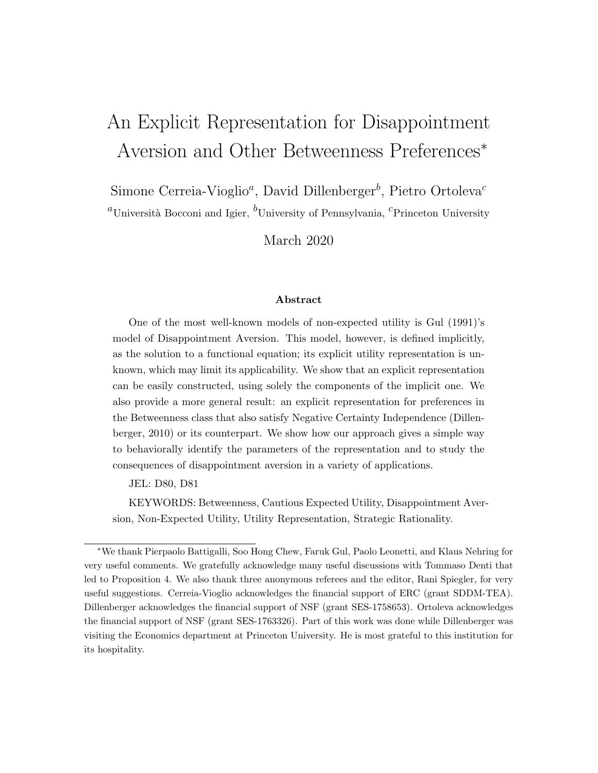# An Explicit Representation for Disappointment Aversion and Other Betweenness Preferences<sup>∗</sup>

Simone Cerreia-Vioglio<sup>a</sup>, David Dillenberger<sup>b</sup>, Pietro Ortoleva<sup>c</sup>

<sup>a</sup>Università Bocconi and Igier, <sup>b</sup>University of Pennsylvania, <sup>c</sup>Princeton University

March 2020

#### Abstract

One of the most well-known models of non-expected utility is Gul (1991)'s model of Disappointment Aversion. This model, however, is defined implicitly, as the solution to a functional equation; its explicit utility representation is unknown, which may limit its applicability. We show that an explicit representation can be easily constructed, using solely the components of the implicit one. We also provide a more general result: an explicit representation for preferences in the Betweenness class that also satisfy Negative Certainty Independence (Dillenberger, 2010) or its counterpart. We show how our approach gives a simple way to behaviorally identify the parameters of the representation and to study the consequences of disappointment aversion in a variety of applications.

JEL: D80, D81

KEYWORDS: Betweenness, Cautious Expected Utility, Disappointment Aversion, Non-Expected Utility, Utility Representation, Strategic Rationality.

<sup>∗</sup>We thank Pierpaolo Battigalli, Soo Hong Chew, Faruk Gul, Paolo Leonetti, and Klaus Nehring for very useful comments. We gratefully acknowledge many useful discussions with Tommaso Denti that led to Proposition 4. We also thank three anonymous referees and the editor, Rani Spiegler, for very useful suggestions. Cerreia-Vioglio acknowledges the financial support of ERC (grant SDDM-TEA). Dillenberger acknowledges the financial support of NSF (grant SES-1758653). Ortoleva acknowledges the financial support of NSF (grant SES-1763326). Part of this work was done while Dillenberger was visiting the Economics department at Princeton University. He is most grateful to this institution for its hospitality.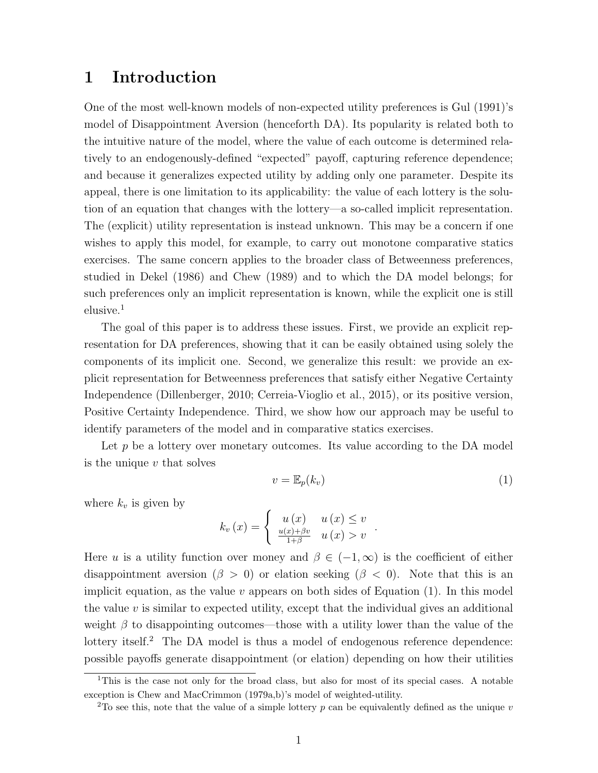### 1 Introduction

One of the most well-known models of non-expected utility preferences is Gul (1991)'s model of Disappointment Aversion (henceforth DA). Its popularity is related both to the intuitive nature of the model, where the value of each outcome is determined relatively to an endogenously-defined "expected" payoff, capturing reference dependence; and because it generalizes expected utility by adding only one parameter. Despite its appeal, there is one limitation to its applicability: the value of each lottery is the solution of an equation that changes with the lottery—a so-called implicit representation. The (explicit) utility representation is instead unknown. This may be a concern if one wishes to apply this model, for example, to carry out monotone comparative statics exercises. The same concern applies to the broader class of Betweenness preferences, studied in Dekel (1986) and Chew (1989) and to which the DA model belongs; for such preferences only an implicit representation is known, while the explicit one is still elusive.<sup>1</sup>

The goal of this paper is to address these issues. First, we provide an explicit representation for DA preferences, showing that it can be easily obtained using solely the components of its implicit one. Second, we generalize this result: we provide an explicit representation for Betweenness preferences that satisfy either Negative Certainty Independence (Dillenberger, 2010; Cerreia-Vioglio et al., 2015), or its positive version, Positive Certainty Independence. Third, we show how our approach may be useful to identify parameters of the model and in comparative statics exercises.

Let  $p$  be a lottery over monetary outcomes. Its value according to the DA model is the unique  $v$  that solves

$$
v = \mathbb{E}_p(k_v) \tag{1}
$$

.

where  $k_v$  is given by

$$
k_v(x) = \begin{cases} u(x) & u(x) \le v \\ \frac{u(x) + \beta v}{1 + \beta} & u(x) > v \end{cases}
$$

Here u is a utility function over money and  $\beta \in (-1,\infty)$  is the coefficient of either disappointment aversion ( $\beta > 0$ ) or elation seeking ( $\beta < 0$ ). Note that this is an implicit equation, as the value  $v$  appears on both sides of Equation (1). In this model the value  $v$  is similar to expected utility, except that the individual gives an additional weight  $\beta$  to disappointing outcomes—those with a utility lower than the value of the lottery itself.<sup>2</sup> The DA model is thus a model of endogenous reference dependence: possible payoffs generate disappointment (or elation) depending on how their utilities

<sup>1</sup>This is the case not only for the broad class, but also for most of its special cases. A notable exception is Chew and MacCrimmon (1979a,b)'s model of weighted-utility.

<sup>&</sup>lt;sup>2</sup>To see this, note that the value of a simple lottery p can be equivalently defined as the unique v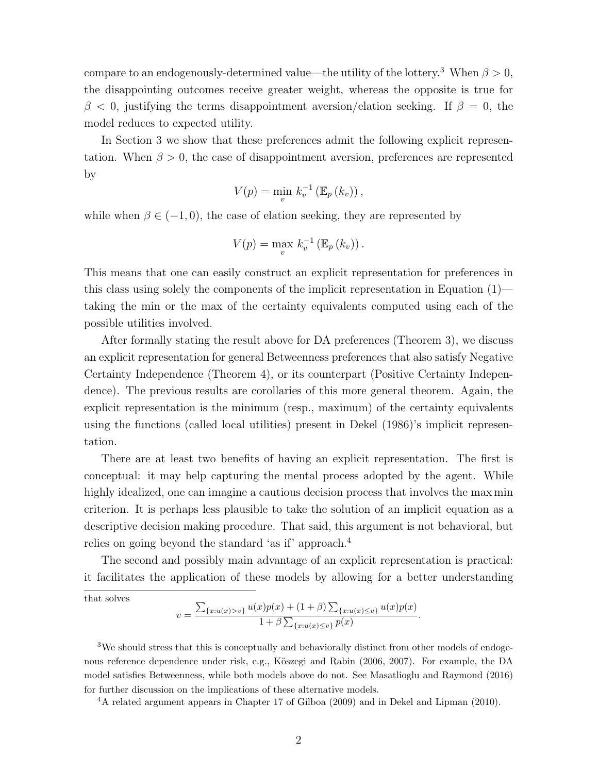compare to an endogenously-determined value—the utility of the lottery.<sup>3</sup> When  $\beta > 0$ , the disappointing outcomes receive greater weight, whereas the opposite is true for  $\beta$  < 0, justifying the terms disappointment aversion/elation seeking. If  $\beta = 0$ , the model reduces to expected utility.

In Section 3 we show that these preferences admit the following explicit representation. When  $\beta > 0$ , the case of disappointment aversion, preferences are represented by

$$
V(p) = \min_{v} k_v^{-1} (\mathbb{E}_p (k_v)),
$$

while when  $\beta \in (-1, 0)$ , the case of elation seeking, they are represented by

$$
V(p) = \max_{v} k_v^{-1} (\mathbb{E}_p (k_v)).
$$

This means that one can easily construct an explicit representation for preferences in this class using solely the components of the implicit representation in Equation  $(1)$  taking the min or the max of the certainty equivalents computed using each of the possible utilities involved.

After formally stating the result above for DA preferences (Theorem 3), we discuss an explicit representation for general Betweenness preferences that also satisfy Negative Certainty Independence (Theorem 4), or its counterpart (Positive Certainty Independence). The previous results are corollaries of this more general theorem. Again, the explicit representation is the minimum (resp., maximum) of the certainty equivalents using the functions (called local utilities) present in Dekel (1986)'s implicit representation.

There are at least two benefits of having an explicit representation. The first is conceptual: it may help capturing the mental process adopted by the agent. While highly idealized, one can imagine a cautious decision process that involves the max min criterion. It is perhaps less plausible to take the solution of an implicit equation as a descriptive decision making procedure. That said, this argument is not behavioral, but relies on going beyond the standard 'as if' approach.<sup>4</sup>

The second and possibly main advantage of an explicit representation is practical: it facilitates the application of these models by allowing for a better understanding

that solves

$$
v = \frac{\sum_{\{x:u(x)>v\}} u(x)p(x) + (1+\beta) \sum_{\{x:u(x)\leq v\}} u(x)p(x)}{1+\beta \sum_{\{x:u(x)\leq v\}} p(x)}.
$$

<sup>3</sup>We should stress that this is conceptually and behaviorally distinct from other models of endogenous reference dependence under risk, e.g., Köszegi and Rabin (2006, 2007). For example, the DA model satisfies Betweenness, while both models above do not. See Masatlioglu and Raymond (2016) for further discussion on the implications of these alternative models.

<sup>4</sup>A related argument appears in Chapter 17 of Gilboa (2009) and in Dekel and Lipman (2010).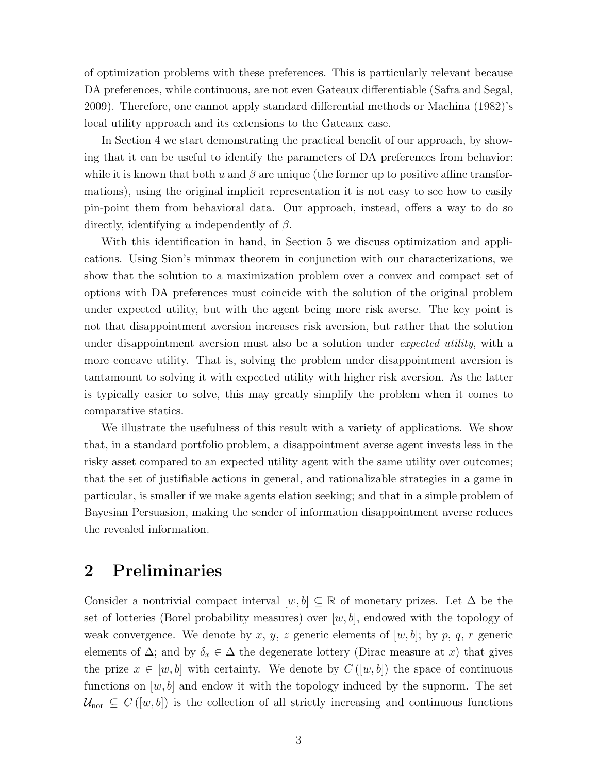of optimization problems with these preferences. This is particularly relevant because DA preferences, while continuous, are not even Gateaux differentiable (Safra and Segal, 2009). Therefore, one cannot apply standard differential methods or Machina (1982)'s local utility approach and its extensions to the Gateaux case.

In Section 4 we start demonstrating the practical benefit of our approach, by showing that it can be useful to identify the parameters of DA preferences from behavior: while it is known that both u and  $\beta$  are unique (the former up to positive affine transformations), using the original implicit representation it is not easy to see how to easily pin-point them from behavioral data. Our approach, instead, offers a way to do so directly, identifying u independently of  $\beta$ .

With this identification in hand, in Section 5 we discuss optimization and applications. Using Sion's minmax theorem in conjunction with our characterizations, we show that the solution to a maximization problem over a convex and compact set of options with DA preferences must coincide with the solution of the original problem under expected utility, but with the agent being more risk averse. The key point is not that disappointment aversion increases risk aversion, but rather that the solution under disappointment aversion must also be a solution under *expected utility*, with a more concave utility. That is, solving the problem under disappointment aversion is tantamount to solving it with expected utility with higher risk aversion. As the latter is typically easier to solve, this may greatly simplify the problem when it comes to comparative statics.

We illustrate the usefulness of this result with a variety of applications. We show that, in a standard portfolio problem, a disappointment averse agent invests less in the risky asset compared to an expected utility agent with the same utility over outcomes; that the set of justifiable actions in general, and rationalizable strategies in a game in particular, is smaller if we make agents elation seeking; and that in a simple problem of Bayesian Persuasion, making the sender of information disappointment averse reduces the revealed information.

### 2 Preliminaries

Consider a nontrivial compact interval  $[w, b] \subseteq \mathbb{R}$  of monetary prizes. Let  $\Delta$  be the set of lotteries (Borel probability measures) over  $[w, b]$ , endowed with the topology of weak convergence. We denote by x, y, z generic elements of  $[w, b]$ ; by p, q, r generic elements of  $\Delta$ ; and by  $\delta_x \in \Delta$  the degenerate lottery (Dirac measure at x) that gives the prize  $x \in [w, b]$  with certainty. We denote by  $C([w, b])$  the space of continuous functions on  $[w, b]$  and endow it with the topology induced by the supnorm. The set  $\mathcal{U}_{\text{nor}} \subseteq C([w, b])$  is the collection of all strictly increasing and continuous functions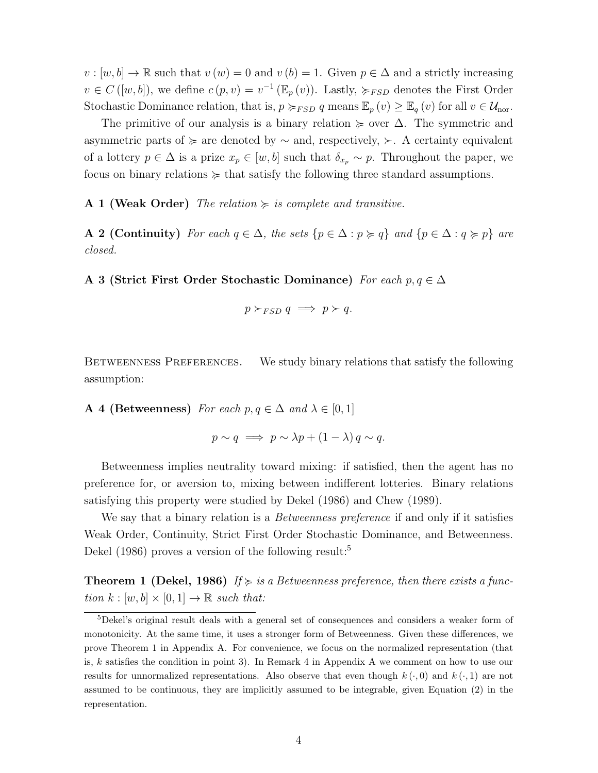$v : [w, b] \to \mathbb{R}$  such that  $v(w) = 0$  and  $v(b) = 1$ . Given  $p \in \Delta$  and a strictly increasing  $v \in C([w, b])$ , we define  $c(p, v) = v^{-1}(\mathbb{E}_p(v))$ . Lastly,  $\succcurlyeq_{FSD}$  denotes the First Order Stochastic Dominance relation, that is,  $p \succ_{FSD} q$  means  $\mathbb{E}_p(v) \geq \mathbb{E}_q(v)$  for all  $v \in \mathcal{U}_{\text{nor}}$ .

The primitive of our analysis is a binary relation  $\succeq$  over  $\Delta$ . The symmetric and asymmetric parts of  $\succ$  are denoted by  $\sim$  and, respectively,  $\succ$ . A certainty equivalent of a lottery  $p \in \Delta$  is a prize  $x_p \in [w, b]$  such that  $\delta_{x_p} \sim p$ . Throughout the paper, we focus on binary relations  $\succeq$  that satisfy the following three standard assumptions.

A 1 (Weak Order) The relation  $\succeq$  is complete and transitive.

A 2 (Continuity) For each  $q \in \Delta$ , the sets  $\{p \in \Delta : p \succcurlyeq q\}$  and  $\{p \in \Delta : q \succcurlyeq p\}$  are closed.

A 3 (Strict First Order Stochastic Dominance) For each  $p, q \in \Delta$ 

$$
p \succ_{FSD} q \implies p \succ q.
$$

BETWEENNESS PREFERENCES. We study binary relations that satisfy the following assumption:

**A** 4 (Betweenness) For each  $p, q \in \Delta$  and  $\lambda \in [0, 1]$ 

$$
p \sim q \implies p \sim \lambda p + (1 - \lambda) q \sim q.
$$

Betweenness implies neutrality toward mixing: if satisfied, then the agent has no preference for, or aversion to, mixing between indifferent lotteries. Binary relations satisfying this property were studied by Dekel (1986) and Chew (1989).

We say that a binary relation is a *Betweenness preference* if and only if it satisfies Weak Order, Continuity, Strict First Order Stochastic Dominance, and Betweenness. Dekel (1986) proves a version of the following result:<sup>5</sup>

**Theorem 1 (Dekel, 1986)** If  $\succcurlyeq$  is a Betweenness preference, then there exists a function  $k : [w, b] \times [0, 1] \rightarrow \mathbb{R}$  such that:

<sup>5</sup>Dekel's original result deals with a general set of consequences and considers a weaker form of monotonicity. At the same time, it uses a stronger form of Betweenness. Given these differences, we prove Theorem 1 in Appendix A. For convenience, we focus on the normalized representation (that is, k satisfies the condition in point 3). In Remark 4 in Appendix A we comment on how to use our results for unnormalized representations. Also observe that even though  $k(\cdot,0)$  and  $k(\cdot,1)$  are not assumed to be continuous, they are implicitly assumed to be integrable, given Equation (2) in the representation.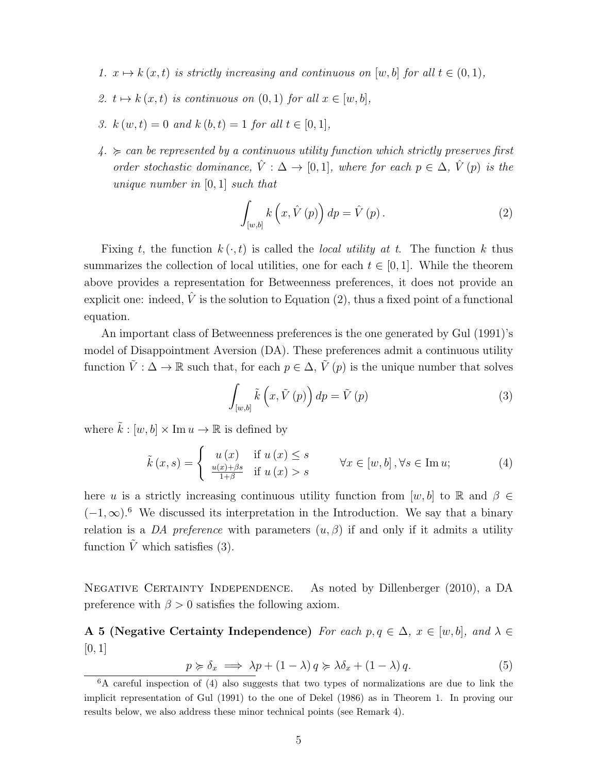- 1.  $x \mapsto k(x, t)$  is strictly increasing and continuous on [w, b] for all  $t \in (0, 1)$ ,
- 2.  $t \mapsto k(x, t)$  is continuous on  $(0, 1)$  for all  $x \in [w, b]$ ,
- 3.  $k(w, t) = 0$  and  $k(b, t) = 1$  for all  $t \in [0, 1]$ ,
- $4. \succ$  can be represented by a continuous utility function which strictly preserves first order stochastic dominance,  $\hat{V}: \Delta \to [0,1]$ , where for each  $p \in \Delta$ ,  $\hat{V}(p)$  is the unique number in [0, 1] such that

$$
\int_{[w,b]} k\left(x, \hat{V}\left(p\right)\right) dp = \hat{V}\left(p\right). \tag{2}
$$

Fixing t, the function  $k(\cdot, t)$  is called the *local utility at t*. The function k thus summarizes the collection of local utilities, one for each  $t \in [0, 1]$ . While the theorem above provides a representation for Betweenness preferences, it does not provide an explicit one: indeed,  $\hat{V}$  is the solution to Equation (2), thus a fixed point of a functional equation.

An important class of Betweenness preferences is the one generated by Gul (1991)'s model of Disappointment Aversion (DA). These preferences admit a continuous utility function  $\tilde{V}$  :  $\Delta \to \mathbb{R}$  such that, for each  $p \in \Delta$ ,  $\tilde{V}(p)$  is the unique number that solves

$$
\int_{[w,b]} \tilde{k}\left(x,\tilde{V}\left(p\right)\right) dp = \tilde{V}\left(p\right) \tag{3}
$$

where  $\tilde{k} : [w, b] \times \text{Im } u \to \mathbb{R}$  is defined by

$$
\tilde{k}(x,s) = \begin{cases}\n u(x) & \text{if } u(x) \le s \\
\frac{u(x) + \beta s}{1 + \beta} & \text{if } u(x) > s\n\end{cases} \quad \forall x \in [w, b], \forall s \in \text{Im } u;\n\tag{4}
$$

here u is a strictly increasing continuous utility function from  $[w, b]$  to R and  $\beta \in$  $(-1,\infty)$ .<sup>6</sup> We discussed its interpretation in the Introduction. We say that a binary relation is a DA preference with parameters  $(u, \beta)$  if and only if it admits a utility function  $\tilde{V}$  which satisfies (3).

NEGATIVE CERTAINTY INDEPENDENCE. As noted by Dillenberger (2010), a DA preference with  $\beta > 0$  satisfies the following axiom.

A 5 (Negative Certainty Independence) For each  $p, q \in \Delta$ ,  $x \in [w, b]$ , and  $\lambda \in$  $[0, 1]$ 

$$
p \succcurlyeq \delta_x \implies \lambda p + (1 - \lambda) q \succcurlyeq \lambda \delta_x + (1 - \lambda) q. \tag{5}
$$

 $6A$  careful inspection of (4) also suggests that two types of normalizations are due to link the implicit representation of Gul (1991) to the one of Dekel (1986) as in Theorem 1. In proving our results below, we also address these minor technical points (see Remark 4).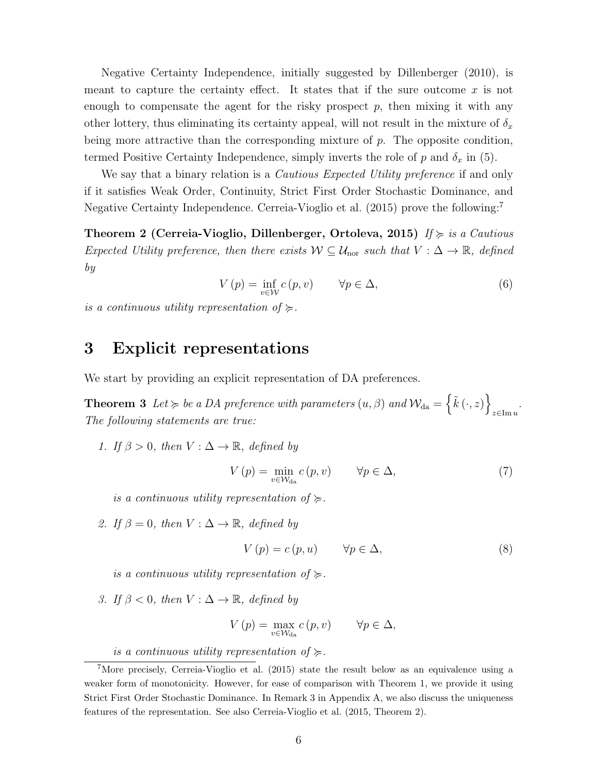Negative Certainty Independence, initially suggested by Dillenberger (2010), is meant to capture the certainty effect. It states that if the sure outcome  $x$  is not enough to compensate the agent for the risky prospect  $p$ , then mixing it with any other lottery, thus eliminating its certainty appeal, will not result in the mixture of  $\delta_x$ being more attractive than the corresponding mixture of  $p$ . The opposite condition, termed Positive Certainty Independence, simply inverts the role of p and  $\delta_x$  in (5).

We say that a binary relation is a *Cautious Expected Utility preference* if and only if it satisfies Weak Order, Continuity, Strict First Order Stochastic Dominance, and Negative Certainty Independence. Cerreia-Vioglio et al. (2015) prove the following:<sup>7</sup>

Theorem 2 (Cerreia-Vioglio, Dillenberger, Ortoleva, 2015) If  $\succcurlyeq$  is a Cautious Expected Utility preference, then there exists  $W \subseteq \mathcal{U}_{\text{nor}}$  such that  $V : \Delta \to \mathbb{R}$ , defined by

$$
V(p) = \inf_{v \in \mathcal{W}} c(p, v) \qquad \forall p \in \Delta,
$$
\n(6)

is a continuous utility representation of  $\succcurlyeq$ .

### 3 Explicit representations

We start by providing an explicit representation of DA preferences.

**Theorem 3** Let  $\succcurlyeq$  be a DA preference with parameters  $(u, \beta)$  and  $\mathcal{W}_{da} = \{ \tilde{k}(\cdot, z) \}$ z∈Im u . The following statements are true:

1. If  $\beta > 0$ , then  $V : \Delta \rightarrow \mathbb{R}$ , defined by

$$
V(p) = \min_{v \in \mathcal{W}_{\text{da}}} c(p, v) \qquad \forall p \in \Delta,
$$
\n<sup>(7)</sup>

is a continuous utility representation of  $\succeq$ .

2. If  $\beta = 0$ , then  $V : \Delta \rightarrow \mathbb{R}$ , defined by

$$
V(p) = c(p, u) \qquad \forall p \in \Delta,
$$
\n<sup>(8)</sup>

is a continuous utility representation of  $\succeq$ .

3. If  $\beta < 0$ , then  $V : \Delta \rightarrow \mathbb{R}$ , defined by

$$
V\left(p\right) = \max_{v \in \mathcal{W}_{\text{da}}} c\left(p, v\right) \qquad \forall p \in \Delta,
$$

is a continuous utility representation of  $\succeq$ .

<sup>&</sup>lt;sup>7</sup>More precisely, Cerreia-Vioglio et al. (2015) state the result below as an equivalence using a weaker form of monotonicity. However, for ease of comparison with Theorem 1, we provide it using Strict First Order Stochastic Dominance. In Remark 3 in Appendix A, we also discuss the uniqueness features of the representation. See also Cerreia-Vioglio et al. (2015, Theorem 2).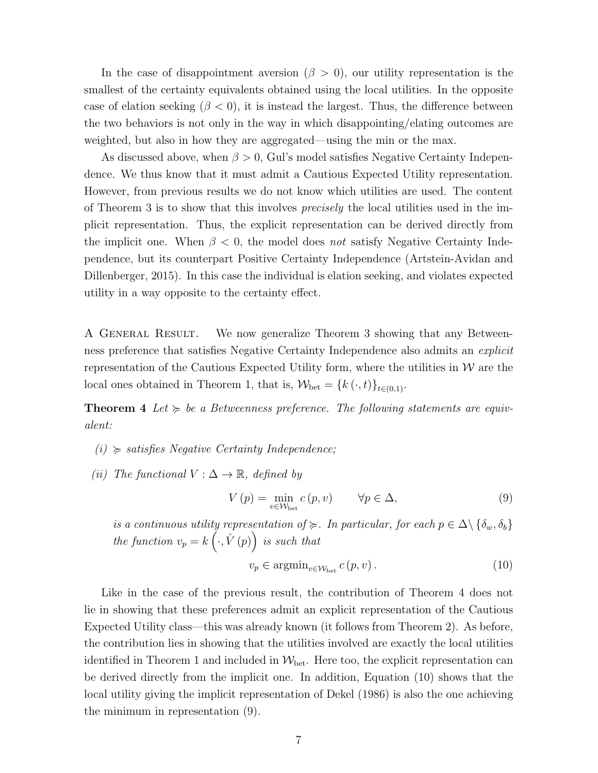In the case of disappointment aversion ( $\beta > 0$ ), our utility representation is the smallest of the certainty equivalents obtained using the local utilities. In the opposite case of elation seeking  $(\beta < 0)$ , it is instead the largest. Thus, the difference between the two behaviors is not only in the way in which disappointing/elating outcomes are weighted, but also in how they are aggregated—using the min or the max.

As discussed above, when  $\beta > 0$ , Gul's model satisfies Negative Certainty Independence. We thus know that it must admit a Cautious Expected Utility representation. However, from previous results we do not know which utilities are used. The content of Theorem 3 is to show that this involves precisely the local utilities used in the implicit representation. Thus, the explicit representation can be derived directly from the implicit one. When  $\beta < 0$ , the model does not satisfy Negative Certainty Independence, but its counterpart Positive Certainty Independence (Artstein-Avidan and Dillenberger, 2015). In this case the individual is elation seeking, and violates expected utility in a way opposite to the certainty effect.

A General Result. We now generalize Theorem 3 showing that any Betweenness preference that satisfies Negative Certainty Independence also admits an explicit representation of the Cautious Expected Utility form, where the utilities in  $\mathcal W$  are the local ones obtained in Theorem 1, that is,  $\mathcal{W}_{\text{bet}} = \{k(\cdot, t)\}_{t \in (0,1)}$ .

**Theorem 4** Let  $\succcurlyeq$  be a Betweenness preference. The following statements are equivalent:

- $(i) \geq satisfies Negative Certainly Independence;$
- (ii) The functional  $V : \Delta \to \mathbb{R}$ , defined by

$$
V(p) = \min_{v \in \mathcal{W}_{\text{bet}}} c(p, v) \qquad \forall p \in \Delta,
$$
\n(9)

is a continuous utility representation of  $\succcurlyeq$ . In particular, for each  $p \in \Delta \setminus {\delta_w, \delta_b}$ the function  $v_p = k \left( \cdot, \hat{V} (p) \right)$  is such that

$$
v_p \in \operatorname{argmin}_{v \in \mathcal{W}_{\text{bet}}} c(p, v) \,. \tag{10}
$$

Like in the case of the previous result, the contribution of Theorem 4 does not lie in showing that these preferences admit an explicit representation of the Cautious Expected Utility class—this was already known (it follows from Theorem 2). As before, the contribution lies in showing that the utilities involved are exactly the local utilities identified in Theorem 1 and included in  $W_{\text{bet}}$ . Here too, the explicit representation can be derived directly from the implicit one. In addition, Equation (10) shows that the local utility giving the implicit representation of Dekel (1986) is also the one achieving the minimum in representation (9).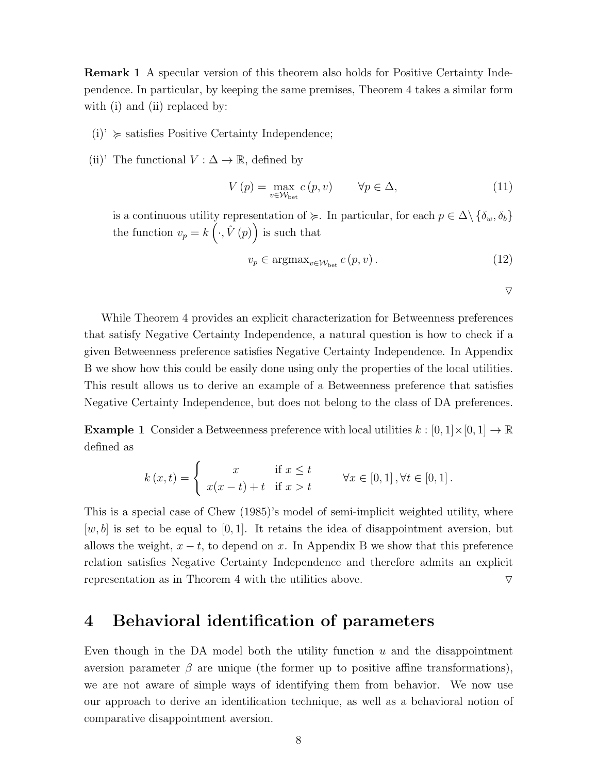Remark 1 A specular version of this theorem also holds for Positive Certainty Independence. In particular, by keeping the same premises, Theorem 4 takes a similar form with (i) and (ii) replaced by:

- $(i)$ <sup>'</sup>  $\succeq$  satisfies Positive Certainty Independence;
- (ii)' The functional  $V : \Delta \to \mathbb{R}$ , defined by

$$
V(p) = \max_{v \in \mathcal{W}_{\text{bet}}} c(p, v) \qquad \forall p \in \Delta,
$$
\n(11)

is a continuous utility representation of  $\succeq$ . In particular, for each  $p \in \Delta \setminus {\delta_w, \delta_b}$ the function  $v_p = k\left(\cdot, \hat{V}\left(p\right)\right)$  is such that

$$
v_p \in \operatorname{argmax}_{v \in \mathcal{W}_{\text{bet}}} c(p, v). \tag{12}
$$

 $\nabla$ 

While Theorem 4 provides an explicit characterization for Betweenness preferences that satisfy Negative Certainty Independence, a natural question is how to check if a given Betweenness preference satisfies Negative Certainty Independence. In Appendix B we show how this could be easily done using only the properties of the local utilities. This result allows us to derive an example of a Betweenness preference that satisfies Negative Certainty Independence, but does not belong to the class of DA preferences.

**Example 1** Consider a Betweenness preference with local utilities  $k : [0, 1] \times [0, 1] \rightarrow \mathbb{R}$ defined as

$$
k(x,t) = \begin{cases} x & \text{if } x \le t \\ x(x-t) + t & \text{if } x > t \end{cases} \quad \forall x \in [0,1], \forall t \in [0,1].
$$

This is a special case of Chew (1985)'s model of semi-implicit weighted utility, where  $[w, b]$  is set to be equal to [0, 1]. It retains the idea of disappointment aversion, but allows the weight,  $x - t$ , to depend on x. In Appendix B we show that this preference relation satisfies Negative Certainty Independence and therefore admits an explicit representation as in Theorem 4 with the utilities above.  $\triangledown$ 

### 4 Behavioral identification of parameters

Even though in the DA model both the utility function  $u$  and the disappointment aversion parameter  $\beta$  are unique (the former up to positive affine transformations), we are not aware of simple ways of identifying them from behavior. We now use our approach to derive an identification technique, as well as a behavioral notion of comparative disappointment aversion.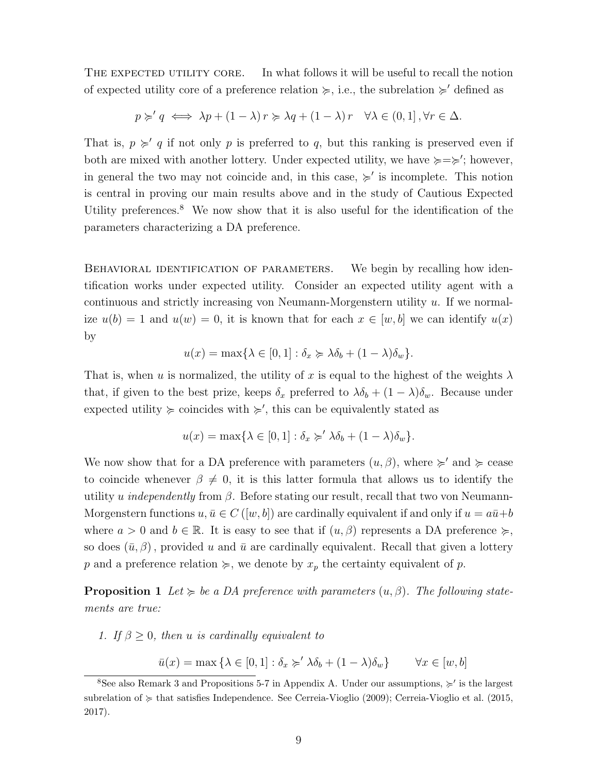THE EXPECTED UTILITY CORE. In what follows it will be useful to recall the notion of expected utility core of a preference relation  $\succcurlyeq$ , i.e., the subrelation  $\succcurlyeq'$  defined as

$$
p \succcurlyeq' q \iff \lambda p + (1 - \lambda) r \succcurlyeq \lambda q + (1 - \lambda) r \quad \forall \lambda \in (0, 1], \forall r \in \Delta.
$$

That is,  $p \geq q$  if not only p is preferred to q, but this ranking is preserved even if both are mixed with another lottery. Under expected utility, we have  $\succcurlyeq=\succ$ ; however, in general the two may not coincide and, in this case,  $\succ$  is incomplete. This notion is central in proving our main results above and in the study of Cautious Expected Utility preferences.<sup>8</sup> We now show that it is also useful for the identification of the parameters characterizing a DA preference.

BEHAVIORAL IDENTIFICATION OF PARAMETERS. We begin by recalling how identification works under expected utility. Consider an expected utility agent with a continuous and strictly increasing von Neumann-Morgenstern utility  $u$ . If we normalize  $u(b) = 1$  and  $u(w) = 0$ , it is known that for each  $x \in [w, b]$  we can identify  $u(x)$ by

$$
u(x) = \max\{\lambda \in [0,1] : \delta_x \succcurlyeq \lambda \delta_b + (1 - \lambda)\delta_w\}.
$$

That is, when u is normalized, the utility of x is equal to the highest of the weights  $\lambda$ that, if given to the best prize, keeps  $\delta_x$  preferred to  $\lambda \delta_b + (1 - \lambda) \delta_w$ . Because under expected utility  $\succcurlyeq$  coincides with  $\succcurlyeq'$ , this can be equivalently stated as

$$
u(x) = \max\{\lambda \in [0,1]: \delta_x \succcurlyeq' \lambda \delta_b + (1-\lambda)\delta_w\}.
$$

We now show that for a DA preference with parameters  $(u, \beta)$ , where  $\succcurlyeq'$  and  $\succcurlyeq$  cease to coincide whenever  $\beta \neq 0$ , it is this latter formula that allows us to identify the utility u independently from  $\beta$ . Before stating our result, recall that two von Neumann-Morgenstern functions  $u, \bar{u} \in C([w, b])$  are cardinally equivalent if and only if  $u = a\bar{u} + b$ where  $a > 0$  and  $b \in \mathbb{R}$ . It is easy to see that if  $(u, \beta)$  represents a DA preference  $\succeq$ , so does  $(\bar{u}, \beta)$ , provided u and  $\bar{u}$  are cardinally equivalent. Recall that given a lottery p and a preference relation  $\succeq$ , we denote by  $x_p$  the certainty equivalent of p.

**Proposition 1** Let  $\succcurlyeq$  be a DA preference with parameters  $(u, \beta)$ . The following statements are true:

1. If  $\beta > 0$ , then u is cardinally equivalent to

$$
\bar{u}(x) = \max\left\{\lambda \in [0,1]: \delta_x \succcurlyeq' \lambda \delta_b + (1-\lambda)\delta_w\right\} \qquad \forall x \in [w,b]
$$

<sup>&</sup>lt;sup>8</sup>See also Remark 3 and Propositions 5-7 in Appendix A. Under our assumptions,  $\geq$ ' is the largest subrelation of  $\succcurlyeq$  that satisfies Independence. See Cerreia-Vioglio (2009); Cerreia-Vioglio et al. (2015, 2017).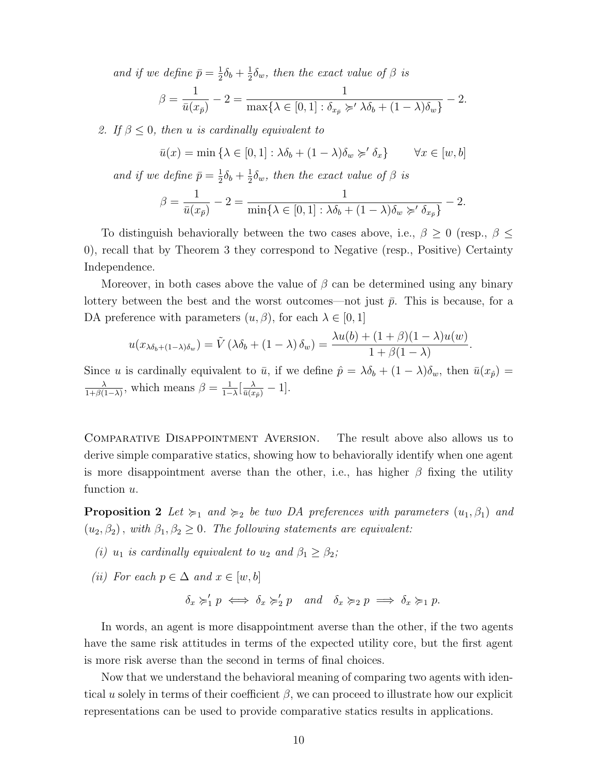and if we define  $\bar{p} = \frac{1}{2}$  $\frac{1}{2}\delta_b + \frac{1}{2}$  $\frac{1}{2}\delta_w$ , then the exact value of  $\beta$  is

$$
\beta = \frac{1}{\bar{u}(x_{\bar{p}})} - 2 = \frac{1}{\max\{\lambda \in [0,1]: \delta_{x_{\bar{p}}} \succcurlyeq' \lambda \delta_b + (1-\lambda)\delta_w\}} - 2.
$$

2. If  $\beta \leq 0$ , then u is cardinally equivalent to

$$
\bar{u}(x) = \min \{ \lambda \in [0, 1] : \lambda \delta_b + (1 - \lambda) \delta_w \succ' \delta_x \} \qquad \forall x \in [w, b]
$$

and if we define  $\bar{p} = \frac{1}{2}$  $\frac{1}{2}\delta_b + \frac{1}{2}$  $\frac{1}{2}\delta_w$ , then the exact value of  $\beta$  is

$$
\beta = \frac{1}{\bar{u}(x_{\bar{p}})} - 2 = \frac{1}{\min\{\lambda \in [0,1] : \lambda \delta_b + (1-\lambda)\delta_w \succ \delta_{x_{\bar{p}}}\}} - 2.
$$

To distinguish behaviorally between the two cases above, i.e.,  $\beta \geq 0$  (resp.,  $\beta \leq$ 0), recall that by Theorem 3 they correspond to Negative (resp., Positive) Certainty Independence.

Moreover, in both cases above the value of  $\beta$  can be determined using any binary lottery between the best and the worst outcomes—not just  $\bar{p}$ . This is because, for a DA preference with parameters  $(u, \beta)$ , for each  $\lambda \in [0, 1]$ 

$$
u(x_{\lambda\delta_b+(1-\lambda)\delta_w})=\tilde{V}(\lambda\delta_b+(1-\lambda)\delta_w)=\frac{\lambda u(b)+(1+\beta)(1-\lambda)u(w)}{1+\beta(1-\lambda)}.
$$

Since u is cardinally equivalent to  $\bar{u}$ , if we define  $\hat{p} = \lambda \delta_b + (1 - \lambda) \delta_w$ , then  $\bar{u}(x_{\hat{p}}) =$ λ  $\frac{\lambda}{1+\beta(1-\lambda)}$ , which means  $\beta = \frac{1}{1-\lambda}$  $\frac{1}{1-\lambda}[\frac{\lambda}{\bar{u}(x_{\hat{p}})}-1].$ 

Comparative Disappointment Aversion. The result above also allows us to derive simple comparative statics, showing how to behaviorally identify when one agent is more disappointment averse than the other, i.e., has higher  $\beta$  fixing the utility function  $u$ .

**Proposition 2** Let  $\succcurlyeq_1$  and  $\succcurlyeq_2$  be two DA preferences with parameters  $(u_1, \beta_1)$  and  $(u_2, \beta_2)$ , with  $\beta_1, \beta_2 \geq 0$ . The following statements are equivalent:

- (i)  $u_1$  is cardinally equivalent to  $u_2$  and  $\beta_1 \geq \beta_2$ ;
- (ii) For each  $p \in \Delta$  and  $x \in [w, b]$

$$
\delta_x \succcurlyeq'_1 p \iff \delta_x \succcurlyeq'_2 p \quad and \quad \delta_x \succcurlyeq_2 p \implies \delta_x \succcurlyeq_1 p.
$$

In words, an agent is more disappointment averse than the other, if the two agents have the same risk attitudes in terms of the expected utility core, but the first agent is more risk averse than the second in terms of final choices.

Now that we understand the behavioral meaning of comparing two agents with identical u solely in terms of their coefficient  $\beta$ , we can proceed to illustrate how our explicit representations can be used to provide comparative statics results in applications.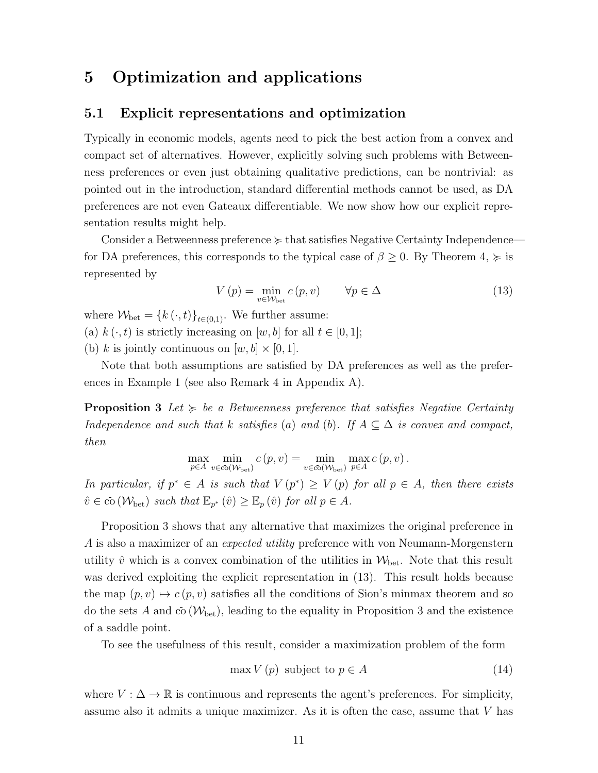### 5 Optimization and applications

### 5.1 Explicit representations and optimization

Typically in economic models, agents need to pick the best action from a convex and compact set of alternatives. However, explicitly solving such problems with Betweenness preferences or even just obtaining qualitative predictions, can be nontrivial: as pointed out in the introduction, standard differential methods cannot be used, as DA preferences are not even Gateaux differentiable. We now show how our explicit representation results might help.

Consider a Betweenness preference  $\succcurlyeq$  that satisfies Negative Certainty Independence for DA preferences, this corresponds to the typical case of  $\beta \geq 0$ . By Theorem 4,  $\succcurlyeq$  is represented by

$$
V(p) = \min_{v \in \mathcal{W}_{\text{bet}}} c(p, v) \qquad \forall p \in \Delta \tag{13}
$$

where  $W_{\text{bet}} = \{k(\cdot, t)\}_{t \in (0,1)}$ . We further assume: (a)  $k(\cdot, t)$  is strictly increasing on  $[w, b]$  for all  $t \in [0, 1]$ ; (b) k is jointly continuous on  $[w, b] \times [0, 1]$ .

Note that both assumptions are satisfied by DA preferences as well as the preferences in Example 1 (see also Remark 4 in Appendix A).

**Proposition 3** Let  $\succeq$  be a Betweenness preference that satisfies Negative Certainty Independence and such that k satisfies (a) and (b). If  $A \subseteq \Delta$  is convex and compact, then

$$
\max_{p \in A} \min_{v \in \overline{co}(\mathcal{W}_{\text{bet}})} c(p, v) = \min_{v \in \overline{co}(\mathcal{W}_{\text{bet}})} \max_{p \in A} c(p, v).
$$

In particular, if  $p^* \in A$  is such that  $V(p^*) \geq V(p)$  for all  $p \in A$ , then there exists  $\hat{v} \in \bar{\text{co}}(\mathcal{W}_{\text{bet}})$  such that  $\mathbb{E}_{p^*}(\hat{v}) \geq \mathbb{E}_p(\hat{v})$  for all  $p \in A$ .

Proposition 3 shows that any alternative that maximizes the original preference in A is also a maximizer of an expected utility preference with von Neumann-Morgenstern utility  $\hat{v}$  which is a convex combination of the utilities in  $\mathcal{W}_{\text{bet}}$ . Note that this result was derived exploiting the explicit representation in  $(13)$ . This result holds because the map  $(p, v) \mapsto c(p, v)$  satisfies all the conditions of Sion's minmax theorem and so do the sets A and  $\overline{co}(\mathcal{W}_{\text{bet}})$ , leading to the equality in Proposition 3 and the existence of a saddle point.

To see the usefulness of this result, consider a maximization problem of the form

$$
\max V(p) \text{ subject to } p \in A \tag{14}
$$

where  $V : \Delta \to \mathbb{R}$  is continuous and represents the agent's preferences. For simplicity, assume also it admits a unique maximizer. As it is often the case, assume that V has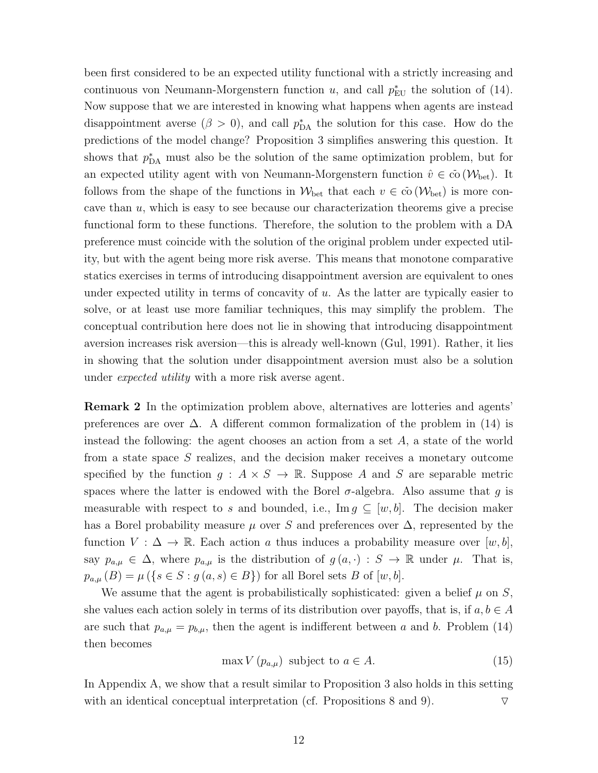been first considered to be an expected utility functional with a strictly increasing and continuous von Neumann-Morgenstern function  $u$ , and call  $p_{EU}^*$  the solution of (14). Now suppose that we are interested in knowing what happens when agents are instead disappointment averse  $(\beta > 0)$ , and call  $p_{DA}^*$  the solution for this case. How do the predictions of the model change? Proposition 3 simplifies answering this question. It shows that  $p_{\text{DA}}^*$  must also be the solution of the same optimization problem, but for an expected utility agent with von Neumann-Morgenstern function  $\hat{v} \in \overline{co}(\mathcal{W}_{\text{bet}})$ . It follows from the shape of the functions in  $W_{\text{bet}}$  that each  $v \in \overline{co}(\mathcal{W}_{\text{bet}})$  is more concave than  $u$ , which is easy to see because our characterization theorems give a precise functional form to these functions. Therefore, the solution to the problem with a DA preference must coincide with the solution of the original problem under expected utility, but with the agent being more risk averse. This means that monotone comparative statics exercises in terms of introducing disappointment aversion are equivalent to ones under expected utility in terms of concavity of  $u$ . As the latter are typically easier to solve, or at least use more familiar techniques, this may simplify the problem. The conceptual contribution here does not lie in showing that introducing disappointment aversion increases risk aversion—this is already well-known (Gul, 1991). Rather, it lies in showing that the solution under disappointment aversion must also be a solution under expected utility with a more risk averse agent.

Remark 2 In the optimization problem above, alternatives are lotteries and agents' preferences are over  $\Delta$ . A different common formalization of the problem in (14) is instead the following: the agent chooses an action from a set A, a state of the world from a state space S realizes, and the decision maker receives a monetary outcome specified by the function  $g: A \times S \to \mathbb{R}$ . Suppose A and S are separable metric spaces where the latter is endowed with the Borel  $\sigma$ -algebra. Also assume that q is measurable with respect to s and bounded, i.e.,  $\text{Im } g \subseteq [w, b]$ . The decision maker has a Borel probability measure  $\mu$  over S and preferences over  $\Delta$ , represented by the function  $V : \Delta \to \mathbb{R}$ . Each action a thus induces a probability measure over  $[w, b]$ , say  $p_{a,\mu} \in \Delta$ , where  $p_{a,\mu}$  is the distribution of  $g(a, \cdot) : S \to \mathbb{R}$  under  $\mu$ . That is,  $p_{a,\mu}(B) = \mu(\{s \in S : g(a,s) \in B\})$  for all Borel sets B of  $[w,b]$ .

We assume that the agent is probabilistically sophisticated: given a belief  $\mu$  on  $S$ , she values each action solely in terms of its distribution over payoffs, that is, if  $a, b \in A$ are such that  $p_{a,\mu} = p_{b,\mu}$ , then the agent is indifferent between a and b. Problem (14) then becomes

$$
\max V(p_{a,\mu}) \text{ subject to } a \in A. \tag{15}
$$

In Appendix A, we show that a result similar to Proposition 3 also holds in this setting with an identical conceptual interpretation (cf. Propositions 8 and 9).  $\triangledown$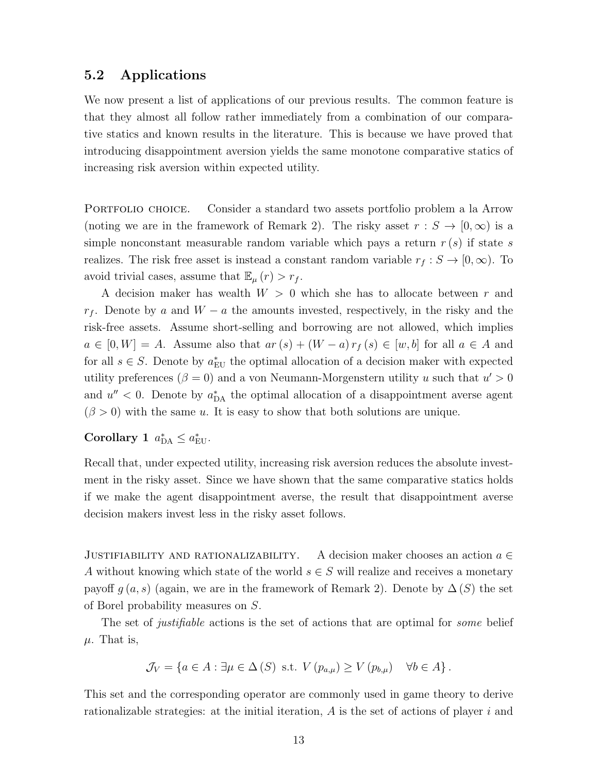#### 5.2 Applications

We now present a list of applications of our previous results. The common feature is that they almost all follow rather immediately from a combination of our comparative statics and known results in the literature. This is because we have proved that introducing disappointment aversion yields the same monotone comparative statics of increasing risk aversion within expected utility.

PORTFOLIO CHOICE. Consider a standard two assets portfolio problem a la Arrow (noting we are in the framework of Remark 2). The risky asset  $r : S \to [0, \infty)$  is a simple nonconstant measurable random variable which pays a return  $r(s)$  if state s realizes. The risk free asset is instead a constant random variable  $r_f : S \to [0, \infty)$ . To avoid trivial cases, assume that  $\mathbb{E}_{\mu}(r) > r_f$ .

A decision maker has wealth  $W > 0$  which she has to allocate between r and  $r_f$ . Denote by a and  $W - a$  the amounts invested, respectively, in the risky and the risk-free assets. Assume short-selling and borrowing are not allowed, which implies  $a \in [0, W] = A$ . Assume also that  $ar(s) + (W - a) r<sub>f</sub>(s) \in [w, b]$  for all  $a \in A$  and for all  $s \in S$ . Denote by  $a_{\text{EU}}^*$  the optimal allocation of a decision maker with expected utility preferences ( $\beta = 0$ ) and a von Neumann-Morgenstern utility u such that  $u' > 0$ and  $u'' < 0$ . Denote by  $a_{\text{DA}}^*$  the optimal allocation of a disappointment averse agent  $(\beta > 0)$  with the same u. It is easy to show that both solutions are unique.

Corollary 1  $a_{\text{DA}}^* \leq a_{\text{EU}}^*$ .

Recall that, under expected utility, increasing risk aversion reduces the absolute investment in the risky asset. Since we have shown that the same comparative statics holds if we make the agent disappointment averse, the result that disappointment averse decision makers invest less in the risky asset follows.

JUSTIFIABILITY AND RATIONALIZABILITY. A decision maker chooses an action  $a \in$ A without knowing which state of the world  $s \in S$  will realize and receives a monetary payoff  $g(a, s)$  (again, we are in the framework of Remark 2). Denote by  $\Delta(S)$  the set of Borel probability measures on S.

The set of *justifiable* actions is the set of actions that are optimal for *some* belief  $\mu$ . That is,

$$
\mathcal{J}_V = \{ a \in A : \exists \mu \in \Delta(S) \text{ s.t. } V(p_{a,\mu}) \ge V(p_{b,\mu}) \quad \forall b \in A \}.
$$

This set and the corresponding operator are commonly used in game theory to derive rationalizable strategies: at the initial iteration,  $A$  is the set of actions of player  $i$  and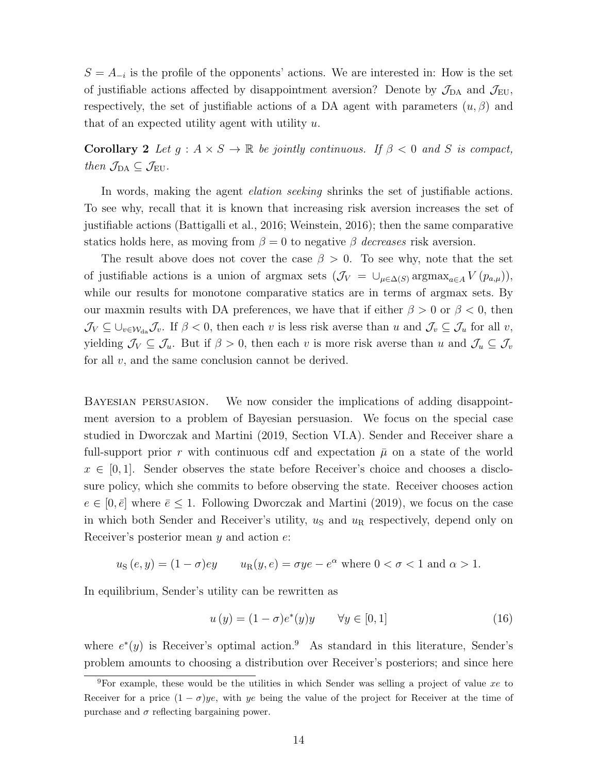$S = A_{-i}$  is the profile of the opponents' actions. We are interested in: How is the set of justifiable actions affected by disappointment aversion? Denote by  $\mathcal{J}_{DA}$  and  $\mathcal{J}_{EU}$ , respectively, the set of justifiable actions of a DA agent with parameters  $(u, \beta)$  and that of an expected utility agent with utility  $u$ .

Corollary 2 Let  $g : A \times S \to \mathbb{R}$  be jointly continuous. If  $\beta < 0$  and S is compact, then  $\mathcal{J}_{DA} \subseteq \mathcal{J}_{EU}$ .

In words, making the agent elation seeking shrinks the set of justifiable actions. To see why, recall that it is known that increasing risk aversion increases the set of justifiable actions (Battigalli et al., 2016; Weinstein, 2016); then the same comparative statics holds here, as moving from  $\beta = 0$  to negative  $\beta$  decreases risk aversion.

The result above does not cover the case  $\beta > 0$ . To see why, note that the set of justifiable actions is a union of argmax sets  $(\mathcal{J}_V = \cup_{\mu \in \Delta(S)} \text{argmax}_{a \in A} V(p_{a,\mu}),$ while our results for monotone comparative statics are in terms of argmax sets. By our maxmin results with DA preferences, we have that if either  $\beta > 0$  or  $\beta < 0$ , then  $\mathcal{J}_V \subseteq \bigcup_{v \in \mathcal{W}_{da}} \mathcal{J}_v$ . If  $\beta < 0$ , then each v is less risk averse than u and  $\mathcal{J}_v \subseteq \mathcal{J}_u$  for all v, yielding  $\mathcal{J}_V \subseteq \mathcal{J}_u$ . But if  $\beta > 0$ , then each v is more risk averse than u and  $\mathcal{J}_u \subseteq \mathcal{J}_v$ for all  $v$ , and the same conclusion cannot be derived.

Bayesian persuasion. We now consider the implications of adding disappointment aversion to a problem of Bayesian persuasion. We focus on the special case studied in Dworczak and Martini (2019, Section VI.A). Sender and Receiver share a full-support prior r with continuous cdf and expectation  $\bar{\mu}$  on a state of the world  $x \in [0, 1]$ . Sender observes the state before Receiver's choice and chooses a disclosure policy, which she commits to before observing the state. Receiver chooses action  $e \in [0, \bar{e}]$  where  $\bar{e} \leq 1$ . Following Dworczak and Martini (2019), we focus on the case in which both Sender and Receiver's utility,  $u<sub>S</sub>$  and  $u<sub>R</sub>$  respectively, depend only on Receiver's posterior mean y and action e:

$$
uS(e, y) = (1 - \sigma)ey
$$
  $uR(y, e) = \sigma ye - e^{\alpha}$  where  $0 < \sigma < 1$  and  $\alpha > 1$ .

In equilibrium, Sender's utility can be rewritten as

$$
u(y) = (1 - \sigma)e^*(y)y \qquad \forall y \in [0, 1]
$$
\n
$$
(16)
$$

where  $e^*(y)$  is Receiver's optimal action.<sup>9</sup> As standard in this literature, Sender's problem amounts to choosing a distribution over Receiver's posteriors; and since here

<sup>&</sup>lt;sup>9</sup>For example, these would be the utilities in which Sender was selling a project of value xe to Receiver for a price  $(1 - \sigma)ye$ , with ye being the value of the project for Receiver at the time of purchase and  $\sigma$  reflecting bargaining power.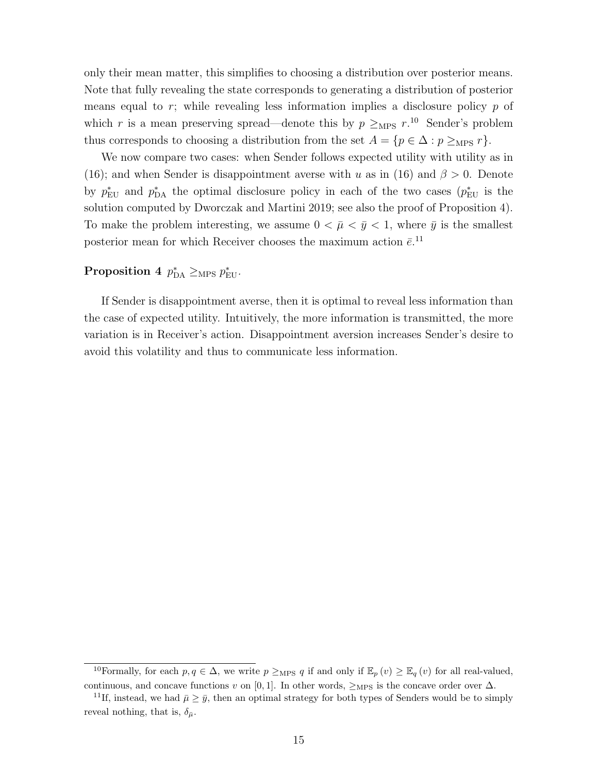only their mean matter, this simplifies to choosing a distribution over posterior means. Note that fully revealing the state corresponds to generating a distribution of posterior means equal to  $r$ ; while revealing less information implies a disclosure policy  $p$  of which r is a mean preserving spread—denote this by  $p \ge_{MPS} r$ .<sup>10</sup> Sender's problem thus corresponds to choosing a distribution from the set  $A = \{p \in \Delta : p \ge_{MPS} r\}.$ 

We now compare two cases: when Sender follows expected utility with utility as in (16); and when Sender is disappointment averse with u as in (16) and  $\beta > 0$ . Denote by  $p_{\text{EU}}^*$  and  $p_{\text{DA}}^*$  the optimal disclosure policy in each of the two cases  $(p_{\text{EU}}^*$  is the solution computed by Dworczak and Martini 2019; see also the proof of Proposition 4). To make the problem interesting, we assume  $0 < \bar{\mu} < \bar{y} < 1$ , where  $\bar{y}$  is the smallest posterior mean for which Receiver chooses the maximum action  $\bar{e}$ .<sup>11</sup>

### Proposition 4  $p_{\text{DA}}^* \geq_{\text{MPS}} p_{\text{EU}}^*$ .

If Sender is disappointment averse, then it is optimal to reveal less information than the case of expected utility. Intuitively, the more information is transmitted, the more variation is in Receiver's action. Disappointment aversion increases Sender's desire to avoid this volatility and thus to communicate less information.

<sup>&</sup>lt;sup>10</sup>Formally, for each  $p, q \in \Delta$ , we write  $p \ge_{\text{MPS}} q$  if and only if  $\mathbb{E}_p(v) \geq \mathbb{E}_q(v)$  for all real-valued, continuous, and concave functions v on [0, 1]. In other words,  $\geq_{\text{MPS}}$  is the concave order over  $\Delta$ .

<sup>&</sup>lt;sup>11</sup>If, instead, we had  $\bar{\mu} \geq \bar{y}$ , then an optimal strategy for both types of Senders would be to simply reveal nothing, that is,  $\delta_{\bar{\mu}}$ .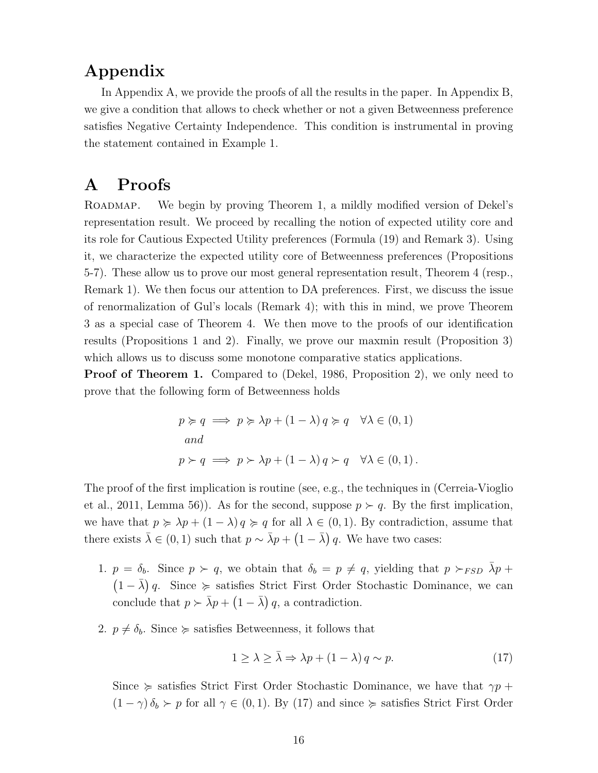## Appendix

In Appendix A, we provide the proofs of all the results in the paper. In Appendix B, we give a condition that allows to check whether or not a given Betweenness preference satisfies Negative Certainty Independence. This condition is instrumental in proving the statement contained in Example 1.

### A Proofs

ROADMAP. We begin by proving Theorem 1, a mildly modified version of Dekel's representation result. We proceed by recalling the notion of expected utility core and its role for Cautious Expected Utility preferences (Formula (19) and Remark 3). Using it, we characterize the expected utility core of Betweenness preferences (Propositions 5-7). These allow us to prove our most general representation result, Theorem 4 (resp., Remark 1). We then focus our attention to DA preferences. First, we discuss the issue of renormalization of Gul's locals (Remark 4); with this in mind, we prove Theorem 3 as a special case of Theorem 4. We then move to the proofs of our identification results (Propositions 1 and 2). Finally, we prove our maxmin result (Proposition 3) which allows us to discuss some monotone comparative statics applications.

**Proof of Theorem 1.** Compared to (Dekel, 1986, Proposition 2), we only need to prove that the following form of Betweenness holds

$$
p \succcurlyeq q \implies p \succcurlyeq \lambda p + (1 - \lambda) q \succcurlyeq q \quad \forall \lambda \in (0, 1)
$$
  
and  

$$
p \succ q \implies p \succ \lambda p + (1 - \lambda) q \succ q \quad \forall \lambda \in (0, 1).
$$

The proof of the first implication is routine (see, e.g., the techniques in (Cerreia-Vioglio et al., 2011, Lemma 56)). As for the second, suppose  $p \succ q$ . By the first implication, we have that  $p \ge \lambda p + (1 - \lambda) q \ge q$  for all  $\lambda \in (0, 1)$ . By contradiction, assume that there exists  $\bar{\lambda} \in (0, 1)$  such that  $p \sim \bar{\lambda}p + (1 - \bar{\lambda})q$ . We have two cases:

- 1.  $p = \delta_b$ . Since  $p \succ q$ , we obtain that  $\delta_b = p \neq q$ , yielding that  $p \succ_{FSD} \lambda_p +$  $(1 - \bar{\lambda}) q$ . Since  $\succeq$  satisfies Strict First Order Stochastic Dominance, we can conclude that  $p \succ \bar{\lambda} p + (1 - \bar{\lambda}) q$ , a contradiction.
- 2.  $p \neq \delta_b$ . Since  $\succeq$  satisfies Betweenness, it follows that

$$
1 \ge \lambda \ge \bar{\lambda} \Rightarrow \lambda p + (1 - \lambda) q \sim p. \tag{17}
$$

Since  $\succcurlyeq$  satisfies Strict First Order Stochastic Dominance, we have that  $\gamma p + \gamma$  $(1 - \gamma) \delta_b \succ p$  for all  $\gamma \in (0, 1)$ . By (17) and since  $\succcurlyeq$  satisfies Strict First Order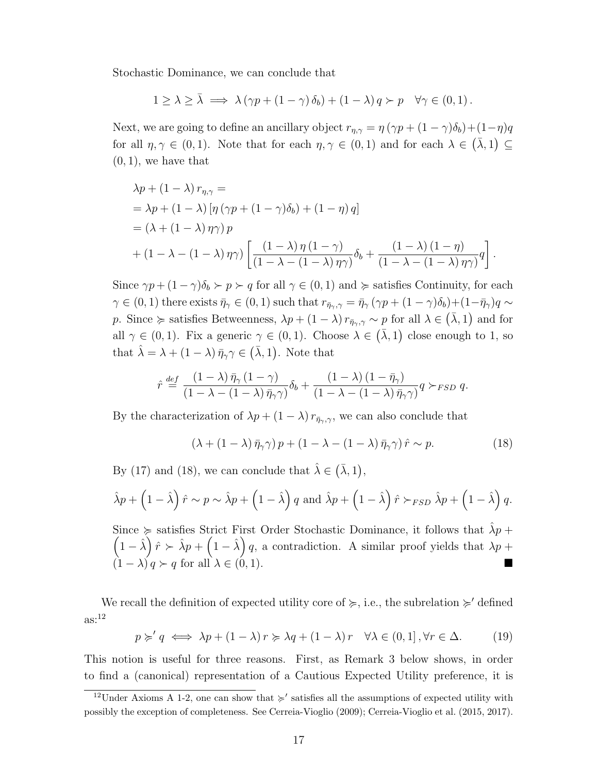Stochastic Dominance, we can conclude that

$$
1 \geq \lambda \geq \bar{\lambda} \implies \lambda (\gamma p + (1 - \gamma) \delta_b) + (1 - \lambda) q \succ p \quad \forall \gamma \in (0, 1).
$$

Next, we are going to define an ancillary object  $r_{\eta,\gamma} = \eta (\gamma p + (1 - \gamma)\delta_b) + (1 - \eta)q$ for all  $\eta, \gamma \in (0, 1)$ . Note that for each  $\eta, \gamma \in (0, 1)$  and for each  $\lambda \in (\bar{\lambda}, 1) \subseteq$  $(0, 1)$ , we have that

$$
\lambda p + (1 - \lambda) r_{\eta, \gamma} =
$$
\n
$$
= \lambda p + (1 - \lambda) [\eta (\gamma p + (1 - \gamma)\delta_b) + (1 - \eta) q]
$$
\n
$$
= (\lambda + (1 - \lambda) \eta \gamma) p
$$
\n
$$
+ (1 - \lambda - (1 - \lambda) \eta \gamma) \left[ \frac{(1 - \lambda) \eta (1 - \gamma)}{(1 - \lambda - (1 - \lambda) \eta \gamma)} \delta_b + \frac{(1 - \lambda) (1 - \eta)}{(1 - \lambda - (1 - \lambda) \eta \gamma)} q \right].
$$

Since  $\gamma p + (1 - \gamma)\delta_b > p > q$  for all  $\gamma \in (0, 1)$  and  $\succcurlyeq$  satisfies Continuity, for each  $\gamma \in (0,1)$  there exists  $\bar{\eta}_{\gamma} \in (0,1)$  such that  $r_{\bar{\eta}_{\gamma},\gamma} = \bar{\eta}_{\gamma} (\gamma p + (1-\gamma)\delta_b) + (1-\bar{\eta}_{\gamma})q \sim$ p. Since  $\succcurlyeq$  satisfies Betweenness,  $\lambda p + (1 - \lambda) r_{\bar{\eta}_{\gamma},\gamma} \sim p$  for all  $\lambda \in (\bar{\lambda}, 1)$  and for all  $\gamma \in (0,1)$ . Fix a generic  $\gamma \in (0,1)$ . Choose  $\lambda \in (\bar{\lambda},1)$  close enough to 1, so that  $\hat{\lambda} = \lambda + (1 - \lambda) \bar{\eta}_{\gamma} \gamma \in (\bar{\lambda}, 1)$ . Note that

$$
\hat{r} \stackrel{def}{=} \frac{(1-\lambda)\,\bar{\eta}_{\gamma}\,(1-\gamma)}{(1-\lambda-(1-\lambda)\,\bar{\eta}_{\gamma}\gamma)}\delta_b + \frac{(1-\lambda)\,(1-\bar{\eta}_{\gamma})}{(1-\lambda-(1-\lambda)\,\bar{\eta}_{\gamma}\gamma)}q \succ_{FSD} q.
$$

By the characterization of  $\lambda p + (1 - \lambda) r_{\bar{\eta}_{\gamma},\gamma}$ , we can also conclude that

$$
(\lambda + (1 - \lambda)\bar{\eta}_{\gamma}\gamma)p + (1 - \lambda - (1 - \lambda)\bar{\eta}_{\gamma}\gamma)\hat{r} \sim p. \tag{18}
$$

By (17) and (18), we can conclude that  $\hat{\lambda} \in (\bar{\lambda}, 1)$ ,

$$
\hat{\lambda}p + \left(1 - \hat{\lambda}\right)\hat{r} \sim p \sim \hat{\lambda}p + \left(1 - \hat{\lambda}\right)q \text{ and } \hat{\lambda}p + \left(1 - \hat{\lambda}\right)\hat{r} \succ_{FSD} \hat{\lambda}p + \left(1 - \hat{\lambda}\right)q.
$$

Since  $\succcurlyeq$  satisfies Strict First Order Stochastic Dominance, it follows that  $\hat{\lambda}p +$  $(1 - \hat{\lambda}) \hat{r} \succ \hat{\lambda} p + (1 - \hat{\lambda}) q$ , a contradiction. A similar proof yields that  $\lambda p +$  $(1 - \lambda) q \succ q$  for all  $\lambda \in (0, 1)$ .

We recall the definition of expected utility core of  $\succcurlyeq$ , i.e., the subrelation  $\succcurlyeq'$  defined  $as:$ <sup>12</sup>

$$
p \succcurlyeq' q \iff \lambda p + (1 - \lambda) r \succcurlyeq \lambda q + (1 - \lambda) r \quad \forall \lambda \in (0, 1], \forall r \in \Delta.
$$
 (19)

This notion is useful for three reasons. First, as Remark 3 below shows, in order to find a (canonical) representation of a Cautious Expected Utility preference, it is

<sup>&</sup>lt;sup>12</sup>Under Axioms A 1-2, one can show that  $\succ$  satisfies all the assumptions of expected utility with possibly the exception of completeness. See Cerreia-Vioglio (2009); Cerreia-Vioglio et al. (2015, 2017).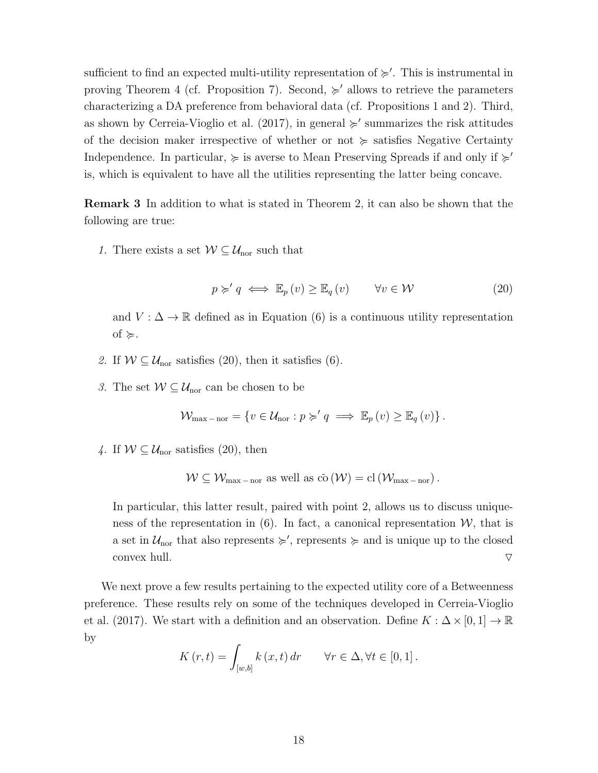sufficient to find an expected multi-utility representation of  $\succ$ . This is instrumental in proving Theorem 4 (cf. Proposition 7). Second,  $\succcurlyeq'$  allows to retrieve the parameters characterizing a DA preference from behavioral data (cf. Propositions 1 and 2). Third, as shown by Cerreia-Vioglio et al. (2017), in general  $\succ$  summarizes the risk attitudes of the decision maker irrespective of whether or not  $\succcurlyeq$  satisfies Negative Certainty Independence. In particular,  $\succeq$  is averse to Mean Preserving Spreads if and only if  $\succeq$ is, which is equivalent to have all the utilities representing the latter being concave.

Remark 3 In addition to what is stated in Theorem 2, it can also be shown that the following are true:

1. There exists a set  $W \subseteq \mathcal{U}_{\text{nor}}$  such that

$$
p \succ q \iff \mathbb{E}_p(v) \ge \mathbb{E}_q(v) \qquad \forall v \in \mathcal{W} \tag{20}
$$

and  $V : \Delta \to \mathbb{R}$  defined as in Equation (6) is a continuous utility representation of  $\succcurlyeq$ .

- 2. If  $W \subseteq \mathcal{U}_{\text{nor}}$  satisfies (20), then it satisfies (6).
- 3. The set  $W \subseteq \mathcal{U}_{\text{nor}}$  can be chosen to be

$$
\mathcal{W}_{\max - \text{nor}} = \{ v \in \mathcal{U}_{\text{nor}} : p \succcurlyeq' q \implies \mathbb{E}_p(v) \geq \mathbb{E}_q(v) \}.
$$

4. If  $W \subseteq \mathcal{U}_{\text{nor}}$  satisfies (20), then

$$
W \subseteq W_{\max - \text{nor}} \text{ as well as } \overline{\text{co}}(\mathcal{W}) = \text{cl}(\mathcal{W}_{\max - \text{nor}}).
$$

In particular, this latter result, paired with point 2, allows us to discuss uniqueness of the representation in (6). In fact, a canonical representation  $W$ , that is a set in  $\mathcal{U}_{\text{nor}}$  that also represents  $\succcurlyeq'$ , represents  $\succcurlyeq$  and is unique up to the closed convex hull.  $\triangledown$ 

We next prove a few results pertaining to the expected utility core of a Betweenness preference. These results rely on some of the techniques developed in Cerreia-Vioglio et al. (2017). We start with a definition and an observation. Define  $K : \Delta \times [0, 1] \to \mathbb{R}$ by

$$
K(r,t) = \int_{[w,b]} k(x,t) dr \quad \forall r \in \Delta, \forall t \in [0,1].
$$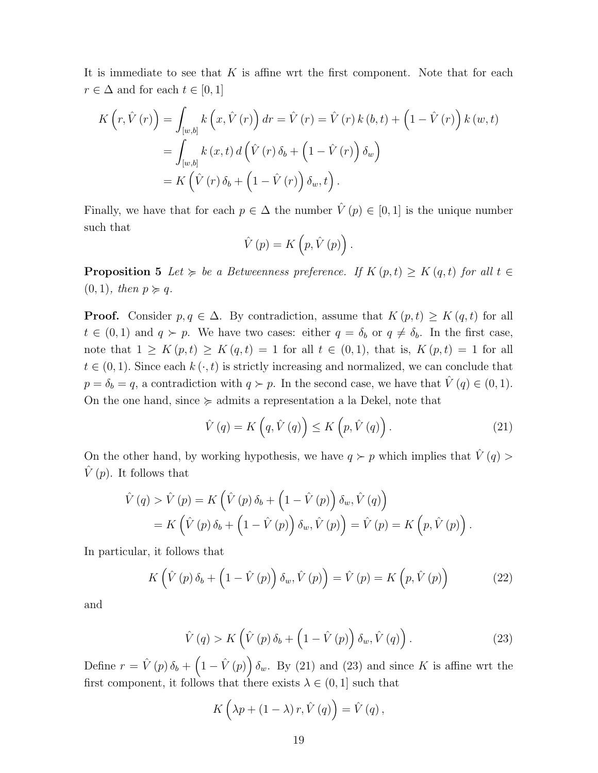It is immediate to see that  $K$  is affine wrt the first component. Note that for each  $r \in \Delta$  and for each  $t \in [0,1]$ 

$$
K\left(r, \hat{V}\left(r\right)\right) = \int_{\left[w,b\right]} k\left(x, \hat{V}\left(r\right)\right) dr = \hat{V}\left(r\right) = \hat{V}\left(r\right)k\left(b,t\right) + \left(1 - \hat{V}\left(r\right)\right)k\left(w,t\right)
$$

$$
= \int_{\left[w,b\right]} k\left(x,t\right) d\left(\hat{V}\left(r\right)\delta_b + \left(1 - \hat{V}\left(r\right)\right)\delta_w\right)
$$

$$
= K\left(\hat{V}\left(r\right)\delta_b + \left(1 - \hat{V}\left(r\right)\right)\delta_w, t\right).
$$

Finally, we have that for each  $p \in \Delta$  the number  $\hat{V}(p) \in [0,1]$  is the unique number such that

$$
\hat{V}(p) = K\left(p, \hat{V}(p)\right).
$$

**Proposition 5** Let  $\succcurlyeq$  be a Betweenness preference. If  $K(p, t) \geq K(q, t)$  for all  $t \in$  $(0, 1)$ , then  $p \succcurlyeq q$ .

**Proof.** Consider  $p, q \in \Delta$ . By contradiction, assume that  $K(p, t) \geq K(q, t)$  for all  $t \in (0,1)$  and  $q \succ p$ . We have two cases: either  $q = \delta_b$  or  $q \neq \delta_b$ . In the first case, note that  $1 \geq K(p,t) \geq K(q,t) = 1$  for all  $t \in (0,1)$ , that is,  $K(p,t) = 1$  for all  $t \in (0, 1)$ . Since each  $k(\cdot, t)$  is strictly increasing and normalized, we can conclude that  $p = \delta_b = q$ , a contradiction with  $q \succ p$ . In the second case, we have that  $\hat{V}(q) \in (0, 1)$ . On the one hand, since  $\succcurlyeq$  admits a representation a la Dekel, note that

$$
\hat{V}(q) = K\left(q, \hat{V}(q)\right) \le K\left(p, \hat{V}(q)\right). \tag{21}
$$

On the other hand, by working hypothesis, we have  $q \succ p$  which implies that  $\hat{V}(q)$  $\hat{V}(p)$ . It follows that

$$
\hat{V}(q) > \hat{V}(p) = K\left(\hat{V}(p)\,\delta_b + \left(1 - \hat{V}(p)\right)\delta_w, \hat{V}(q)\right) \n= K\left(\hat{V}(p)\,\delta_b + \left(1 - \hat{V}(p)\right)\delta_w, \hat{V}(p)\right) = \hat{V}(p) = K\left(p, \hat{V}(p)\right).
$$

In particular, it follows that

$$
K\left(\hat{V}\left(p\right)\delta_{b}+\left(1-\hat{V}\left(p\right)\right)\delta_{w},\hat{V}\left(p\right)\right)=\hat{V}\left(p\right)=K\left(p,\hat{V}\left(p\right)\right)\tag{22}
$$

and

$$
\hat{V}(q) > K\left(\hat{V}(p)\,\delta_b + \left(1 - \hat{V}(p)\right)\delta_w, \hat{V}(q)\right). \tag{23}
$$

Define  $r = \hat{V}(p)\,\delta_b + (1 - \hat{V}(p))\,\delta_w$ . By (21) and (23) and since K is affine wrt the first component, it follows that there exists  $\lambda \in (0,1]$  such that

$$
K\left(\lambda p + \left(1 - \lambda\right)r, \hat{V}\left(q\right)\right) = \hat{V}\left(q\right),\,
$$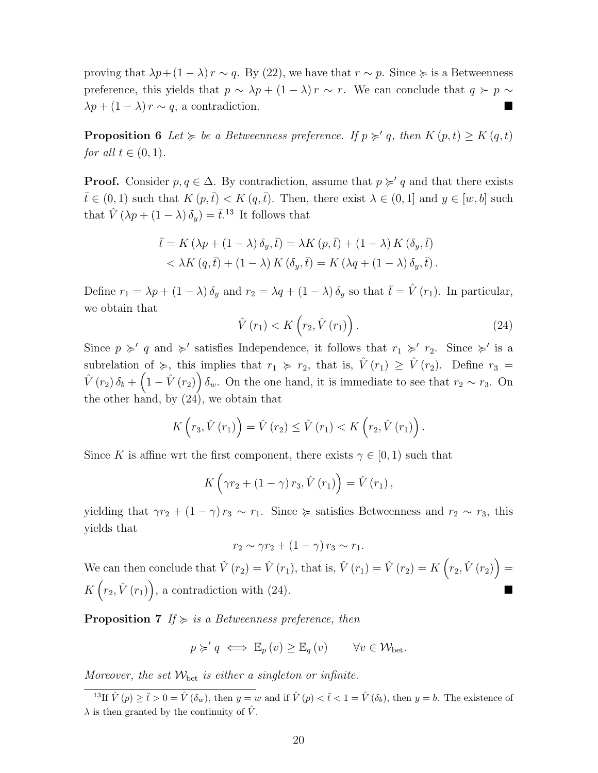proving that  $\lambda p + (1 - \lambda) r \sim q$ . By (22), we have that  $r \sim p$ . Since  $\succeq$  is a Betweenness preference, this yields that  $p \sim \lambda p + (1 - \lambda) r \sim r$ . We can conclude that  $q \succ p \sim$  $\lambda p + (1 - \lambda) r \sim q$ , a contradiction.

**Proposition 6** Let  $\succcurlyeq$  be a Betweenness preference. If  $p \succcurlyeq q$ , then  $K(p, t) \geq K(q, t)$ for all  $t \in (0,1)$ .

**Proof.** Consider  $p, q \in \Delta$ . By contradiction, assume that  $p \succ q$  and that there exists  $\bar{t} \in (0,1)$  such that  $K(p,\bar{t}) < K(q,\bar{t})$ . Then, there exist  $\lambda \in (0,1]$  and  $y \in [w,b]$  such that  $\hat{V}(\lambda p + (1 - \lambda) \delta_y) = \bar{t}^{13}$  It follows that

$$
\bar{t} = K(\lambda p + (1 - \lambda)\delta_y, \bar{t}) = \lambda K(p, \bar{t}) + (1 - \lambda) K(\delta_y, \bar{t})
$$
  

$$
< \lambda K(q, \bar{t}) + (1 - \lambda) K(\delta_y, \bar{t}) = K(\lambda q + (1 - \lambda)\delta_y, \bar{t}).
$$

Define  $r_1 = \lambda p + (1 - \lambda) \delta_y$  and  $r_2 = \lambda q + (1 - \lambda) \delta_y$  so that  $\bar{t} = \hat{V}(r_1)$ . In particular, we obtain that

$$
\hat{V}(r_1) < K\left(r_2, \hat{V}(r_1)\right). \tag{24}
$$

Since  $p \geq q$  and  $\geq$ ' satisfies Independence, it follows that  $r_1 \geq r_2$ . Since  $\geq$ ' is a subrelation of  $\succcurlyeq$ , this implies that  $r_1 \succcurlyeq r_2$ , that is,  $\hat{V}(r_1) \geq \hat{V}(r_2)$ . Define  $r_3 =$  $\hat{V}(r_2)\delta_b+\left(1-\hat{V}(r_2)\right)\delta_w$ . On the one hand, it is immediate to see that  $r_2 \sim r_3$ . On the other hand, by (24), we obtain that

$$
K\left(r_3,\hat{V}\left(r_1\right)\right)=\hat{V}\left(r_2\right)\leq \hat{V}\left(r_1\right)
$$

Since K is affine wrt the first component, there exists  $\gamma \in [0, 1)$  such that

$$
K\left(\gamma r_2 + \left(1-\gamma\right)r_3, \hat{V}\left(r_1\right)\right) = \hat{V}\left(r_1\right),
$$

yielding that  $\gamma r_2 + (1 - \gamma) r_3 \sim r_1$ . Since  $\succcurlyeq$  satisfies Betweenness and  $r_2 \sim r_3$ , this yields that

$$
r_2 \sim \gamma r_2 + (1 - \gamma) r_3 \sim r_1.
$$

We can then conclude that  $\hat{V}(r_2) = \hat{V}(r_1)$ , that is,  $\hat{V}(r_1) = \hat{V}(r_2) = K(r_2, \hat{V}(r_2)) =$  $K(r_2,\hat{V}(r_1)),$  a contradiction with (24).

**Proposition 7** If  $\succcurlyeq$  is a Betweenness preference, then

$$
p \succ q \iff \mathbb{E}_p(v) \geq \mathbb{E}_q(v) \quad \forall v \in \mathcal{W}_{\text{bet}}.
$$

Moreover, the set  $W_{\text{bet}}$  is either a singleton or infinite.

<sup>13</sup>If  $\hat{V}(p) \geq \bar{t} > 0 = \hat{V}(\delta_w)$ , then  $y = w$  and if  $\hat{V}(p) < \bar{t} < 1 = \hat{V}(\delta_b)$ , then  $y = b$ . The existence of  $\lambda$  is then granted by the continuity of  $\hat{V}$ .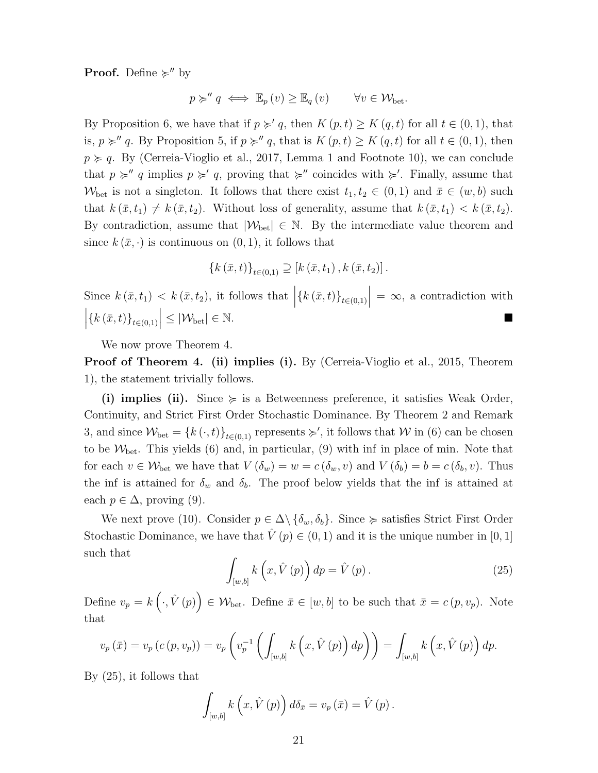**Proof.** Define  $\succcurlyeq''$  by

$$
p \succcurlyeq'' q \iff \mathbb{E}_p(v) \geq \mathbb{E}_q(v) \qquad \forall v \in \mathcal{W}_{\text{bet}}.
$$

By Proposition 6, we have that if  $p \succ q$ , then  $K (p, t) \geq K (q, t)$  for all  $t \in (0, 1)$ , that is,  $p \succcurlyeq'' q$ . By Proposition 5, if  $p \succcurlyeq'' q$ , that is  $K (p, t) \geq K (q, t)$  for all  $t \in (0, 1)$ , then  $p \geq q$ . By (Cerreia-Vioglio et al., 2017, Lemma 1 and Footnote 10), we can conclude that  $p \succcurlyeq' q$  implies  $p \succcurlyeq' q$ , proving that  $\succcurlyeq''$  coincides with  $\succcurlyeq'$ . Finally, assume that  $W_{\text{bet}}$  is not a singleton. It follows that there exist  $t_1, t_2 \in (0, 1)$  and  $\bar{x} \in (w, b)$  such that  $k(\bar{x}, t_1) \neq k(\bar{x}, t_2)$ . Without loss of generality, assume that  $k(\bar{x}, t_1) < k(\bar{x}, t_2)$ . By contradiction, assume that  $|\mathcal{W}_{\text{bet}}| \in \mathbb{N}$ . By the intermediate value theorem and since  $k(\bar{x},\cdot)$  is continuous on  $(0,1)$ , it follows that

$$
\{k(\bar{x},t)\}_{t\in(0,1)} \supseteq [k(\bar{x},t_1),k(\bar{x},t_2)].
$$

Since  $k(\bar{x}, t_1) < k(\bar{x}, t_2)$ , it follows that  $\left| \{ k(\bar{x}, t) \}_{t \in (0,1)} \right| = \infty$ , a contradiction with  $\left| \{k(\bar{x},t)\}_{t\in(0,1)} \right| \leq |\mathcal{W}_{\text{bet}}| \in \mathbb{N}.$ 

We now prove Theorem 4.

Proof of Theorem 4. (ii) implies (i). By (Cerreia-Vioglio et al., 2015, Theorem 1), the statement trivially follows.

(i) implies (ii). Since  $\succeq$  is a Betweenness preference, it satisfies Weak Order, Continuity, and Strict First Order Stochastic Dominance. By Theorem 2 and Remark 3, and since  $W_{\text{bet}} = \{k(\cdot, t)\}_{t \in (0,1)}$  represents  $\succsim'$ , it follows that W in (6) can be chosen to be  $W_{\text{bet}}$ . This yields (6) and, in particular, (9) with inf in place of min. Note that for each  $v \in \mathcal{W}_{\text{bet}}$  we have that  $V(\delta_w) = w = c(\delta_w, v)$  and  $V(\delta_b) = b = c(\delta_b, v)$ . Thus the inf is attained for  $\delta_w$  and  $\delta_b$ . The proof below yields that the inf is attained at each  $p \in \Delta$ , proving (9).

We next prove (10). Consider  $p \in \Delta \setminus {\delta_w, \delta_b}$ . Since  $\succeq$  satisfies Strict First Order Stochastic Dominance, we have that  $\hat{V}(p) \in (0, 1)$  and it is the unique number in [0, 1] such that

$$
\int_{[w,b]} k\left(x, \hat{V}\left(p\right)\right) dp = \hat{V}\left(p\right). \tag{25}
$$

Define  $v_p = k(\cdot, \hat{V}(p)) \in W_{\text{bet}}$ . Define  $\bar{x} \in [w, b]$  to be such that  $\bar{x} = c(p, v_p)$ . Note that

$$
v_p(\bar{x}) = v_p(c(p, v_p)) = v_p\left(v_p^{-1}\left(\int_{[w,b]} k\left(x, \hat{V}(p)\right) dp\right)\right) = \int_{[w,b]} k\left(x, \hat{V}(p)\right) dp.
$$

By (25), it follows that

$$
\int_{[w,b]} k\left(x, \hat{V}\left(p\right)\right) d\delta_{\bar{x}} = v_p\left(\bar{x}\right) = \hat{V}\left(p\right).
$$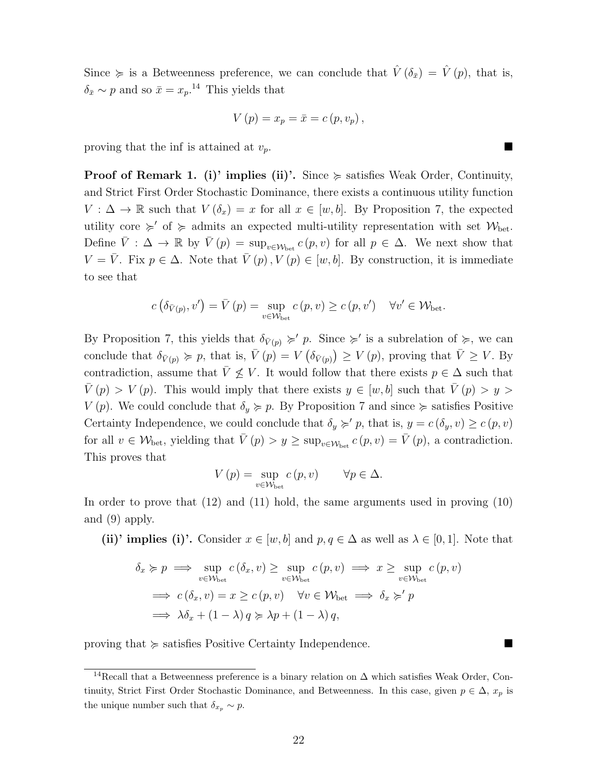Since  $\succcurlyeq$  is a Betweenness preference, we can conclude that  $\hat{V}(\delta_{\bar{x}}) = \hat{V}(p)$ , that is,  $\delta_{\bar{x}} \sim p$  and so  $\bar{x} = x_p$ .<sup>14</sup> This yields that

$$
V(p) = x_p = \bar{x} = c(p, v_p),
$$

proving that the inf is attained at  $v_p$ .

**Proof of Remark 1. (i)' implies (ii)'.** Since  $\succcurlyeq$  satisfies Weak Order, Continuity, and Strict First Order Stochastic Dominance, there exists a continuous utility function  $V : \Delta \to \mathbb{R}$  such that  $V(\delta_x) = x$  for all  $x \in [w, b]$ . By Proposition 7, the expected utility core  $\succcurlyeq'$  of  $\succcurlyeq$  admits an expected multi-utility representation with set  $\mathcal{W}_{\text{bet}}$ . Define  $\overline{V}$  :  $\Delta \to \mathbb{R}$  by  $\overline{V}(p) = \sup_{v \in \mathcal{W}_{\text{bet}}} c(p, v)$  for all  $p \in \Delta$ . We next show that  $V = \overline{V}$ . Fix  $p \in \Delta$ . Note that  $\overline{V}(p), V(p) \in [w, b]$ . By construction, it is immediate to see that

$$
c\left(\delta_{\bar{V}(p)}, v'\right) = \bar{V}\left(p\right) = \sup_{v \in \mathcal{W}_{\text{bet}}} c\left(p, v\right) \geq c\left(p, v'\right) \quad \forall v' \in \mathcal{W}_{\text{bet}}.
$$

By Proposition 7, this yields that  $\delta_{\bar{V}(p)} \succ p$ . Since  $\succ$  is a subrelation of  $\succcurlyeq$ , we can conclude that  $\delta_{\bar{V}(p)} \succcurlyeq p$ , that is,  $\bar{V}(p) = V(\delta_{\bar{V}(p)}) \geq V(p)$ , proving that  $\bar{V} \geq V$ . By contradiction, assume that  $\overline{V} \not\leq V$ . It would follow that there exists  $p \in \Delta$  such that  $\overline{V}(p) > V(p)$ . This would imply that there exists  $y \in [w, b]$  such that  $\overline{V}(p) > y >$  $V(p)$ . We could conclude that  $\delta_y \succcurlyeq p$ . By Proposition 7 and since  $\succcurlyeq$  satisfies Positive Certainty Independence, we could conclude that  $\delta_y \succcurlyeq' p$ , that is,  $y = c(\delta_y, v) \geq c(p, v)$ for all  $v \in \mathcal{W}_{\text{bet}}$ , yielding that  $\overline{V}(p) > y \ge \sup_{v \in \mathcal{W}_{\text{bet}}} c(p, v) = \overline{V}(p)$ , a contradiction. This proves that

$$
V(p) = \sup_{v \in \mathcal{W}_{\text{bet}}} c(p, v) \qquad \forall p \in \Delta.
$$

In order to prove that (12) and (11) hold, the same arguments used in proving (10) and (9) apply.

(ii)' implies (i)'. Consider  $x \in [w, b]$  and  $p, q \in \Delta$  as well as  $\lambda \in [0, 1]$ . Note that

$$
\delta_x \succcurlyeq p \implies \sup_{v \in \mathcal{W}_{\text{bet}}} c(\delta_x, v) \ge \sup_{v \in \mathcal{W}_{\text{bet}}} c(p, v) \implies x \ge \sup_{v \in \mathcal{W}_{\text{bet}}} c(p, v)
$$
\n
$$
\implies c(\delta_x, v) = x \ge c(p, v) \quad \forall v \in \mathcal{W}_{\text{bet}} \implies \delta_x \succcurlyeq' p
$$
\n
$$
\implies \lambda \delta_x + (1 - \lambda) q \succcurlyeq \lambda p + (1 - \lambda) q,
$$

proving that  $\succeq$  satisfies Positive Certainty Independence.

<sup>14</sup>Recall that a Betweenness preference is a binary relation on ∆ which satisfies Weak Order, Continuity, Strict First Order Stochastic Dominance, and Betweenness. In this case, given  $p \in \Delta$ ,  $x_p$  is the unique number such that  $\delta_{x_p} \sim p$ .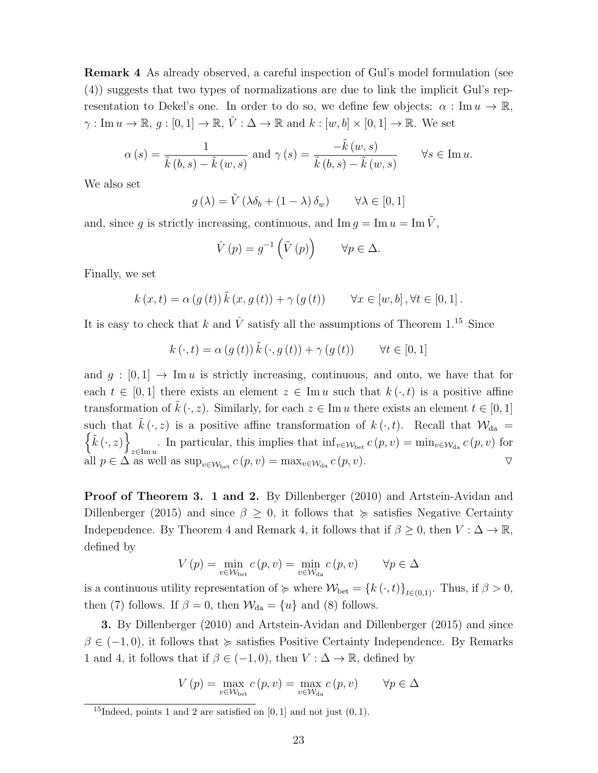Remark 4 As already observed, a careful inspection of Gul's model formulation (see (4)) suggests that two types of normalizations are due to link the implicit Gul's representation to Dekel's one. In order to do so, we define few objects:  $\alpha : \text{Im } u \to \mathbb{R}$ ,  $\gamma: \text{Im } u \to \mathbb{R}, g: [0,1] \to \mathbb{R}, \hat{V}: \Delta \to \mathbb{R} \text{ and } k: [w, b] \times [0,1] \to \mathbb{R}.$  We set

$$
\alpha(s) = \frac{1}{\tilde{k}(b,s) - \tilde{k}(w,s)} \text{ and } \gamma(s) = \frac{-\tilde{k}(w,s)}{\tilde{k}(b,s) - \tilde{k}(w,s)} \qquad \forall s \in \text{Im } u.
$$

We also set

$$
g(\lambda) = \tilde{V}(\lambda \delta_b + (1 - \lambda) \delta_w) \qquad \forall \lambda \in [0, 1]
$$

and, since g is strictly increasing, continuous, and  $\text{Im } g = \text{Im } u = \text{Im } \tilde{V}$ ,

$$
\hat{V}(p) = g^{-1}\left(\tilde{V}(p)\right) \qquad \forall p \in \Delta.
$$

Finally, we set

$$
k(x,t) = \alpha(g(t)) \tilde{k}(x,g(t)) + \gamma(g(t)) \qquad \forall x \in [w,b], \forall t \in [0,1].
$$

It is easy to check that k and  $\hat{V}$  satisfy all the assumptions of Theorem 1.<sup>15</sup> Since

$$
k(\cdot, t) = \alpha(g(t)) \tilde{k}(\cdot, g(t)) + \gamma(g(t)) \qquad \forall t \in [0, 1]
$$

and  $g : [0, 1] \rightarrow \text{Im } u$  is strictly increasing, continuous, and onto, we have that for each  $t \in [0,1]$  there exists an element  $z \in \text{Im } u$  such that  $k(\cdot, t)$  is a positive affine transformation of  $k(\cdot, z)$ . Similarly, for each  $z \in \text{Im } u$  there exists an element  $t \in [0, 1]$ such that  $\tilde{k}(\cdot, z)$  is a positive affine transformation of  $k(\cdot, t)$ . Recall that  $\mathcal{W}_{da} =$  $\{\tilde{k}(\cdot,z)\}\$ . In particular, this implies that  $\inf_{v \in \mathcal{W}_{\text{bet}}} c(p, v) = \min_{v \in \mathcal{W}_{\text{da}}} c(p, v)$  for all  $p \in \Delta$  as well as  $\sup_{v \in \mathcal{W}_{\text{bet}}} c(p, v) = \max_{v \in \mathcal{W}_{\text{da}}} c(p, v)$ .

Proof of Theorem 3. 1 and 2. By Dillenberger (2010) and Artstein-Avidan and Dillenberger (2015) and since  $\beta \geq 0$ , it follows that  $\succcurlyeq$  satisfies Negative Certainty Independence. By Theorem 4 and Remark 4, it follows that if  $\beta \geq 0$ , then  $V : \Delta \to \mathbb{R}$ , defined by

$$
V(p) = \min_{v \in \mathcal{W}_{\text{bet}}} c(p, v) = \min_{v \in \mathcal{W}_{\text{da}}} c(p, v) \qquad \forall p \in \Delta
$$

is a continuous utility representation of  $\succcurlyeq$  where  $\mathcal{W}_{\text{bet}} = \{k(\cdot, t)\}_{t \in (0,1)}$ . Thus, if  $\beta > 0$ , then (7) follows. If  $\beta = 0$ , then  $\mathcal{W}_{da} = \{u\}$  and (8) follows.

3. By Dillenberger (2010) and Artstein-Avidan and Dillenberger (2015) and since  $\beta \in (-1,0)$ , it follows that  $\succeq$  satisfies Positive Certainty Independence. By Remarks 1 and 4, it follows that if  $\beta \in (-1,0)$ , then  $V : \Delta \to \mathbb{R}$ , defined by

$$
V(p) = \max_{v \in \mathcal{W}_{\text{bet}}} c(p, v) = \max_{v \in \mathcal{W}_{\text{da}}} c(p, v) \qquad \forall p \in \Delta
$$

<sup>&</sup>lt;sup>15</sup>Indeed, points 1 and 2 are satisfied on  $[0, 1]$  and not just  $(0, 1)$ .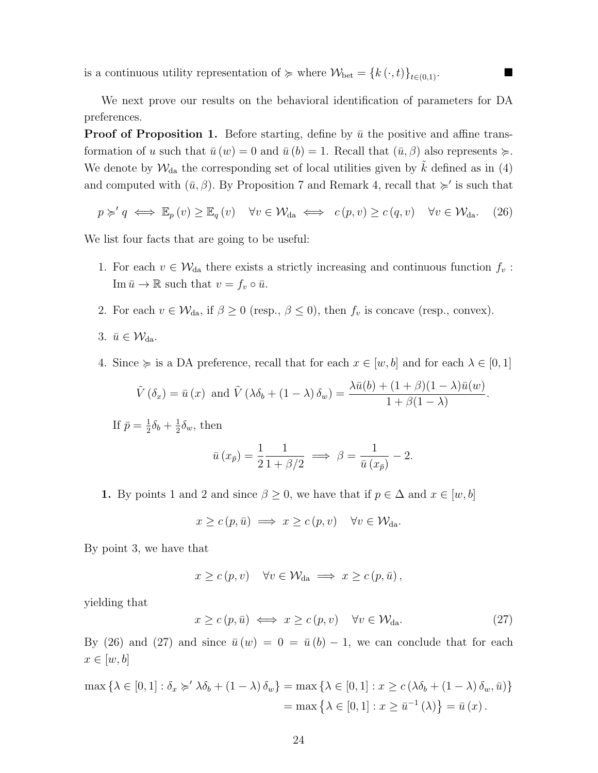is a continuous utility representation of  $\succcurlyeq$  where  $\mathcal{W}_{\text{bet}} = \{k(\cdot, t)\}_{t\in(0,1)}$ .

We next prove our results on the behavioral identification of parameters for DA preferences.

**Proof of Proposition 1.** Before starting, define by  $\bar{u}$  the positive and affine transformation of u such that  $\bar{u}(w) = 0$  and  $\bar{u}(b) = 1$ . Recall that  $(\bar{u}, \beta)$  also represents  $\succeq$ . We denote by  $\mathcal{W}_{da}$  the corresponding set of local utilities given by  $\tilde{k}$  defined as in (4) and computed with  $(\bar{u}, \beta)$ . By Proposition 7 and Remark 4, recall that  $\succ$  is such that

$$
p \succ q \iff \mathbb{E}_p(v) \ge \mathbb{E}_q(v) \quad \forall v \in \mathcal{W}_{da} \iff c(p, v) \ge c(q, v) \quad \forall v \in \mathcal{W}_{da}.
$$
 (26)

We list four facts that are going to be useful:

- 1. For each  $v \in \mathcal{W}_{da}$  there exists a strictly increasing and continuous function  $f_v$ :  $\text{Im } \bar{u} \to \mathbb{R} \text{ such that } v = f_v \circ \bar{u}.$
- 2. For each  $v \in \mathcal{W}_{da}$ , if  $\beta \geq 0$  (resp.,  $\beta \leq 0$ ), then  $f_v$  is concave (resp., convex).

3. 
$$
\bar{u} \in \mathcal{W}_{da}
$$
.

4. Since  $\succcurlyeq$  is a DA preference, recall that for each  $x \in [w, b]$  and for each  $\lambda \in [0, 1]$ 

$$
\tilde{V}(\delta_x) = \bar{u}(x) \text{ and } \tilde{V}(\lambda \delta_b + (1 - \lambda) \delta_w) = \frac{\lambda \bar{u}(b) + (1 + \beta)(1 - \lambda)\bar{u}(w)}{1 + \beta(1 - \lambda)}.
$$

If  $\bar{p} = \frac{1}{2}$  $\frac{1}{2}\delta_b + \frac{1}{2}$  $\frac{1}{2}\delta_w$ , then

$$
\bar{u}(x_{\bar{p}}) = \frac{1}{2} \frac{1}{1 + \beta/2} \implies \beta = \frac{1}{\bar{u}(x_{\bar{p}})} - 2.
$$

1. By points 1 and 2 and since  $\beta \geq 0$ , we have that if  $p \in \Delta$  and  $x \in [w, b]$ 

$$
x \ge c(p, \bar{u}) \implies x \ge c(p, v) \quad \forall v \in \mathcal{W}_{da}.
$$

By point 3, we have that

$$
x \ge c(p, v) \quad \forall v \in \mathcal{W}_{da} \implies x \ge c(p, \bar{u}),
$$

yielding that

$$
x \ge c(p, \bar{u}) \iff x \ge c(p, v) \quad \forall v \in \mathcal{W}_{da}.
$$
 (27)

By (26) and (27) and since  $\bar{u}(w) = 0 = \bar{u}(b) - 1$ , we can conclude that for each  $x \in [w, b]$ 

$$
\max \left\{ \lambda \in [0,1] : \delta_x \succcurlyeq' \lambda \delta_b + (1 - \lambda) \delta_w \right\} = \max \left\{ \lambda \in [0,1] : x \ge c \left( \lambda \delta_b + (1 - \lambda) \delta_w, \bar{u} \right) \right\}
$$

$$
= \max \left\{ \lambda \in [0,1] : x \ge \bar{u}^{-1} \left( \lambda \right) \right\} = \bar{u} \left( x \right).
$$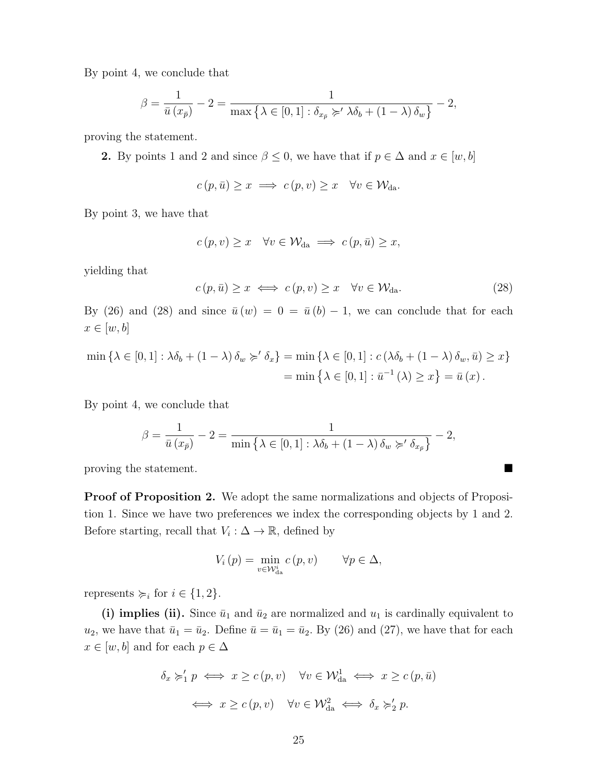By point 4, we conclude that

$$
\beta = \frac{1}{\bar{u}(x_{\bar{p}})} - 2 = \frac{1}{\max\left\{\lambda \in [0,1]: \delta_{x_{\bar{p}}} \succcurlyeq' \lambda \delta_b + (1-\lambda)\delta_w\right\}} - 2,
$$

proving the statement.

2. By points 1 and 2 and since  $\beta \leq 0$ , we have that if  $p \in \Delta$  and  $x \in [w, b]$ 

$$
c(p, \bar{u}) \geq x \implies c(p, v) \geq x \quad \forall v \in \mathcal{W}_{da}.
$$

By point 3, we have that

$$
c(p, v) \ge x \quad \forall v \in \mathcal{W}_{da} \implies c(p, \bar{u}) \ge x,
$$

yielding that

$$
c(p, \bar{u}) \ge x \iff c(p, v) \ge x \quad \forall v \in \mathcal{W}_{da}.
$$
 (28)

By (26) and (28) and since  $\bar{u}(w) = 0 = \bar{u}(b) - 1$ , we can conclude that for each  $x \in [w, b]$ 

$$
\min \left\{ \lambda \in [0,1] : \lambda \delta_b + (1 - \lambda) \delta_w \succcurlyeq' \delta_x \right\} = \min \left\{ \lambda \in [0,1] : c \left( \lambda \delta_b + (1 - \lambda) \delta_w, \bar{u} \right) \ge x \right\}
$$

$$
= \min \left\{ \lambda \in [0,1] : \bar{u}^{-1} \left( \lambda \right) \ge x \right\} = \bar{u} \left( x \right).
$$

By point 4, we conclude that

$$
\beta = \frac{1}{\bar{u}(x_{\bar{p}})} - 2 = \frac{1}{\min\left\{\lambda \in [0,1]: \lambda \delta_b + (1-\lambda) \delta_w \succ \delta_{x_{\bar{p}}}\right\}} - 2,
$$

proving the statement.

Proof of Proposition 2. We adopt the same normalizations and objects of Proposition 1. Since we have two preferences we index the corresponding objects by 1 and 2. Before starting, recall that  $V_i : \Delta \to \mathbb{R}$ , defined by

$$
V_{i}(p) = \min_{v \in \mathcal{W}_{\text{da}}^{i}} c(p, v) \qquad \forall p \in \Delta,
$$

represents  $\succcurlyeq_i$  for  $i \in \{1, 2\}.$ 

(i) implies (ii). Since  $\bar{u}_1$  and  $\bar{u}_2$  are normalized and  $u_1$  is cardinally equivalent to  $u_2$ , we have that  $\bar{u}_1 = \bar{u}_2$ . Define  $\bar{u} = \bar{u}_1 = \bar{u}_2$ . By (26) and (27), we have that for each  $x \in [w, b]$  and for each  $p \in \Delta$ 

$$
\delta_x \succ'_1 p \iff x \ge c(p, v) \quad \forall v \in \mathcal{W}_{da}^1 \iff x \ge c(p, \bar{u})
$$

$$
\iff x \ge c(p, v) \quad \forall v \in \mathcal{W}_{da}^2 \iff \delta_x \succ'_2 p.
$$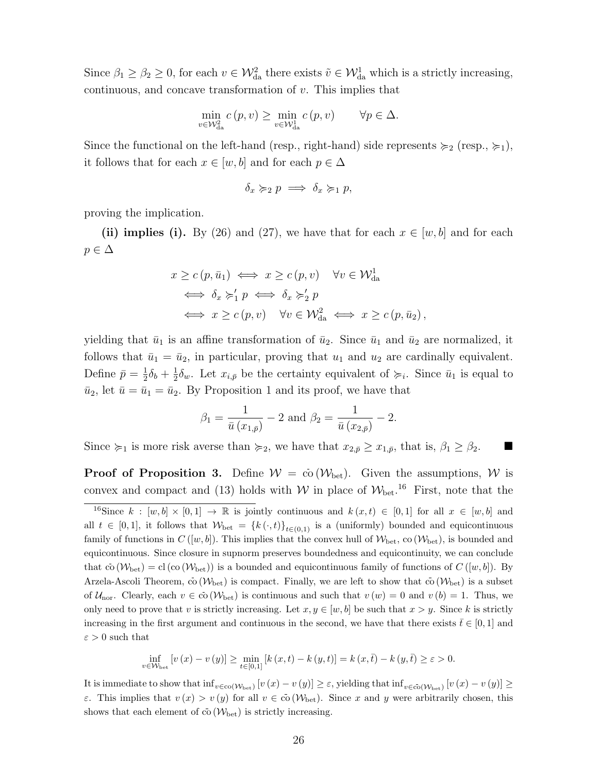Since  $\beta_1 \ge \beta_2 \ge 0$ , for each  $v \in \mathcal{W}_{da}^2$  there exists  $\tilde{v} \in \mathcal{W}_{da}^1$  which is a strictly increasing, continuous, and concave transformation of v. This implies that

$$
\min_{v \in \mathcal{W}_{da}^2} c(p, v) \ge \min_{v \in \mathcal{W}_{da}^1} c(p, v) \qquad \forall p \in \Delta.
$$

Since the functional on the left-hand (resp., right-hand) side represents  $\succcurlyeq_2$  (resp.,  $\succcurlyeq_1$ ), it follows that for each  $x \in [w, b]$  and for each  $p \in \Delta$ 

$$
\delta_x \succcurlyeq_2 p \implies \delta_x \succcurlyeq_1 p,
$$

proving the implication.

(ii) implies (i). By (26) and (27), we have that for each  $x \in [w, b]$  and for each  $p \in \Delta$ 

$$
x \ge c(p, \bar{u}_1) \iff x \ge c(p, v) \quad \forall v \in \mathcal{W}_{da}^1
$$
  
\n
$$
\iff \delta_x \succ'_1 p \iff \delta_x \succ'_2 p
$$
  
\n
$$
\iff x \ge c(p, v) \quad \forall v \in \mathcal{W}_{da}^2 \iff x \ge c(p, \bar{u}_2),
$$

yielding that  $\bar{u}_1$  is an affine transformation of  $\bar{u}_2$ . Since  $\bar{u}_1$  and  $\bar{u}_2$  are normalized, it follows that  $\bar{u}_1 = \bar{u}_2$ , in particular, proving that  $u_1$  and  $u_2$  are cardinally equivalent. Define  $\bar{p} = \frac{1}{2}$  $\frac{1}{2}\delta_b + \frac{1}{2}$  $\frac{1}{2}\delta_w$ . Let  $x_{i,\bar{p}}$  be the certainty equivalent of  $\succcurlyeq_i$ . Since  $\bar{u}_1$  is equal to  $\bar{u}_2$ , let  $\bar{u} = \bar{u}_1 = \bar{u}_2$ . By Proposition 1 and its proof, we have that

$$
\beta_1 = \frac{1}{\bar{u}(x_{1,\bar{p}})} - 2
$$
 and  $\beta_2 = \frac{1}{\bar{u}(x_{2,\bar{p}})} - 2$ .

Since  $\succcurlyeq_1$  is more risk averse than  $\succcurlyeq_2$ , we have that  $x_{2,\bar{p}} \geq x_{1,\bar{p}}$ , that is,  $\beta_1 \geq \beta_2$ .

**Proof of Proposition 3.** Define  $W = c_0(W_{\text{bet}})$ . Given the assumptions, W is convex and compact and (13) holds with W in place of  $W_{\text{bet}}$ .<sup>16</sup> First, note that the

$$
\inf_{v \in W_{\text{bet}}}[v(x) - v(y)] \ge \min_{t \in [0,1]} [k(x,t) - k(y,t)] = k(x,\bar{t}) - k(y,\bar{t}) \ge \varepsilon > 0.
$$

It is immediate to show that  $\inf_{v \in \text{co}(\mathcal{W}_{\text{bet}})} [v(x) - v(y)] \ge \varepsilon$ , yielding that  $\inf_{v \in \text{co}(\mathcal{W}_{\text{bet}})} [v(x) - v(y)] \ge$ ε. This implies that  $v(x) > v(y)$  for all  $v \in \overline{co}(\mathcal{W}_{\text{bet}})$ . Since x and y were arbitrarily chosen, this shows that each element of  $\overline{co}(\mathcal{W}_{\text{bet}})$  is strictly increasing.

<sup>&</sup>lt;sup>16</sup>Since  $k : [w, b] \times [0, 1] \rightarrow \mathbb{R}$  is jointly continuous and  $k(x, t) \in [0, 1]$  for all  $x \in [w, b]$  and all  $t \in [0,1]$ , it follows that  $\mathcal{W}_{\text{bet}} = \{k(\cdot,t)\}_{t\in(0,1)}$  is a (uniformly) bounded and equicontinuous family of functions in  $C([w, b])$ . This implies that the convex hull of  $W_{\text{bet}}$ , co  $(W_{\text{bet}})$ , is bounded and equicontinuous. Since closure in supnorm preserves boundedness and equicontinuity, we can conclude that  $\bar{c}$  ( $W_{\rm bet}$ ) = cl (co ( $W_{\rm bet}$ )) is a bounded and equicontinuous family of functions of  $C([w, b])$ . By Arzela-Ascoli Theorem, co ( $W_{\text{bet}}$ ) is compact. Finally, we are left to show that co ( $W_{\text{bet}}$ ) is a subset of  $\mathcal{U}_{\text{nor}}$ . Clearly, each  $v \in \overline{\text{co}}(\mathcal{W}_{\text{bet}})$  is continuous and such that  $v(w) = 0$  and  $v(b) = 1$ . Thus, we only need to prove that v is strictly increasing. Let  $x, y \in [w, b]$  be such that  $x > y$ . Since k is strictly increasing in the first argument and continuous in the second, we have that there exists  $\bar{t} \in [0,1]$  and  $\varepsilon>0$  such that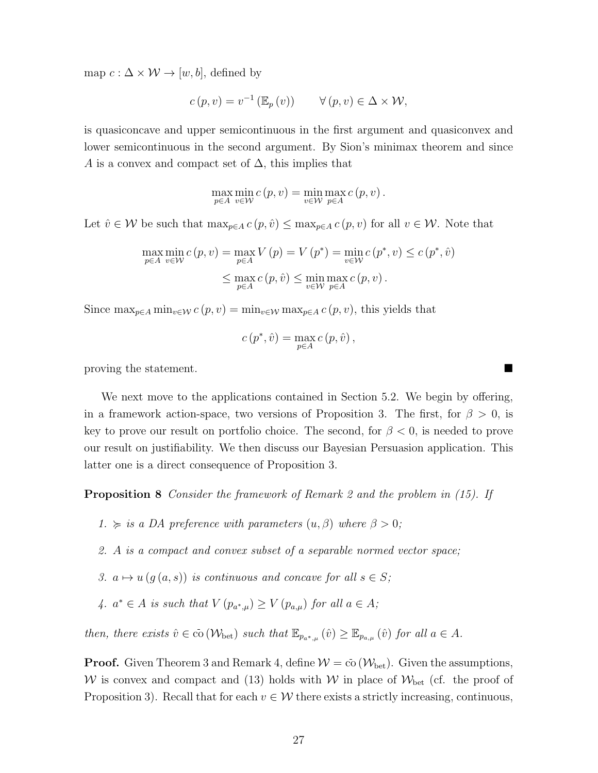map  $c : \Delta \times W \rightarrow [w, b]$ , defined by

$$
c(p, v) = v^{-1} (\mathbb{E}_p(v)) \qquad \forall (p, v) \in \Delta \times \mathcal{W},
$$

is quasiconcave and upper semicontinuous in the first argument and quasiconvex and lower semicontinuous in the second argument. By Sion's minimax theorem and since A is a convex and compact set of  $\Delta$ , this implies that

$$
\max_{p \in A} \min_{v \in \mathcal{W}} c(p, v) = \min_{v \in \mathcal{W}} \max_{p \in A} c(p, v).
$$

Let  $\hat{v} \in \mathcal{W}$  be such that  $\max_{p \in A} c(p, \hat{v}) \leq \max_{p \in A} c(p, v)$  for all  $v \in \mathcal{W}$ . Note that

$$
\max_{p \in A} \min_{v \in \mathcal{W}} c(p, v) = \max_{p \in A} V(p) = V(p^*) = \min_{v \in \mathcal{W}} c(p^*, v) \le c(p^*, \hat{v})
$$
  

$$
\le \max_{p \in A} c(p, \hat{v}) \le \min_{v \in \mathcal{W}} \max_{p \in A} c(p, v).
$$

Since  $\max_{p \in A} \min_{v \in \mathcal{W}} c(p, v) = \min_{v \in \mathcal{W}} \max_{p \in A} c(p, v)$ , this yields that

$$
c(p^*, \hat{v}) = \max_{p \in A} c(p, \hat{v}),
$$

proving the statement.

We next move to the applications contained in Section 5.2. We begin by offering, in a framework action-space, two versions of Proposition 3. The first, for  $\beta > 0$ , is key to prove our result on portfolio choice. The second, for  $\beta < 0$ , is needed to prove our result on justifiability. We then discuss our Bayesian Persuasion application. This latter one is a direct consequence of Proposition 3.

Proposition 8 Consider the framework of Remark 2 and the problem in (15). If

- 1.  $\succcurlyeq$  is a DA preference with parameters  $(u, \beta)$  where  $\beta > 0$ ;
- 2. A is a compact and convex subset of a separable normed vector space;
- 3.  $a \mapsto u(g(a, s))$  is continuous and concave for all  $s \in S$ ;
- 4.  $a^* \in A$  is such that  $V(p_{a^*,\mu}) \geq V(p_{a,\mu})$  for all  $a \in A$ ;

then, there exists  $\hat{v} \in \bar{\text{co}}(\mathcal{W}_{\text{bet}})$  such that  $\mathbb{E}_{p_{a^*,\mu}}(\hat{v}) \geq \mathbb{E}_{p_{a,\mu}}(\hat{v})$  for all  $a \in A$ .

**Proof.** Given Theorem 3 and Remark 4, define  $W = c_0(W_{\text{bet}})$ . Given the assumptions, W is convex and compact and (13) holds with W in place of  $W_{\text{bet}}$  (cf. the proof of Proposition 3). Recall that for each  $v \in \mathcal{W}$  there exists a strictly increasing, continuous,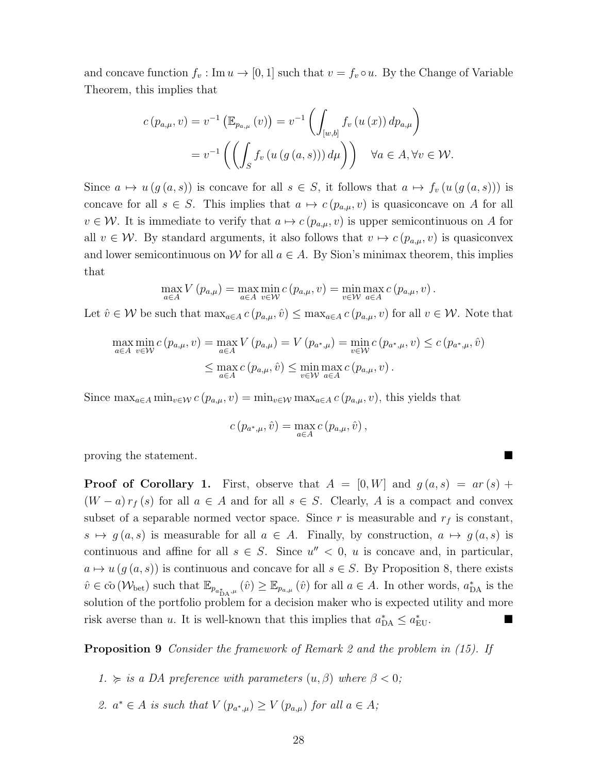and concave function  $f_v : \text{Im } u \to [0, 1]$  such that  $v = f_v \circ u$ . By the Change of Variable Theorem, this implies that

$$
c(p_{a,\mu}, v) = v^{-1} \left( \mathbb{E}_{p_{a,\mu}}(v) \right) = v^{-1} \left( \int_{[w,b]} f_v(u(x)) dp_{a,\mu} \right)
$$
  
= 
$$
v^{-1} \left( \left( \int_S f_v(u(g(a,s))) d\mu \right) \right) \quad \forall a \in A, \forall v \in \mathcal{W}.
$$

Since  $a \mapsto u(g(a, s))$  is concave for all  $s \in S$ , it follows that  $a \mapsto f_v(u(g(a, s)))$  is concave for all  $s \in S$ . This implies that  $a \mapsto c (p_{a,\mu}, v)$  is quasiconcave on A for all  $v \in \mathcal{W}$ . It is immediate to verify that  $a \mapsto c$  ( $p_{a,\mu}, v$ ) is upper semicontinuous on A for all  $v \in \mathcal{W}$ . By standard arguments, it also follows that  $v \mapsto c$  ( $p_{a,\mu}, v$ ) is quasiconvex and lower semicontinuous on W for all  $a \in A$ . By Sion's minimax theorem, this implies that

$$
\max_{a\in A} V(p_{a,\mu}) = \max_{a\in A} \min_{v\in \mathcal{W}} c(p_{a,\mu}, v) = \min_{v\in \mathcal{W}} \max_{a\in A} c(p_{a,\mu}, v).
$$

Let  $\hat{v} \in \mathcal{W}$  be such that  $\max_{a \in A} c(p_{a,\mu}, \hat{v}) \leq \max_{a \in A} c(p_{a,\mu}, v)$  for all  $v \in \mathcal{W}$ . Note that

$$
\max_{a \in A} \min_{v \in \mathcal{W}} c(p_{a,\mu}, v) = \max_{a \in A} V(p_{a,\mu}) = V(p_{a^*,\mu}) = \min_{v \in \mathcal{W}} c(p_{a^*,\mu}, v) \le c(p_{a^*,\mu}, \hat{v})
$$
  

$$
\le \max_{a \in A} c(p_{a,\mu}, \hat{v}) \le \min_{v \in \mathcal{W}} \max_{a \in A} c(p_{a,\mu}, v).
$$

Since  $\max_{a \in A} \min_{v \in \mathcal{W}} c(p_{a,\mu}, v) = \min_{v \in \mathcal{W}} \max_{a \in A} c(p_{a,\mu}, v)$ , this yields that

$$
c(p_{a^*,\mu},\hat{v}) = \max_{a \in A} c(p_{a,\mu},\hat{v}),
$$

proving the statement.

**Proof of Corollary 1.** First, observe that  $A = [0, W]$  and  $g(a, s) = ar(s) +$  $(W - a) r_f(s)$  for all  $a \in A$  and for all  $s \in S$ . Clearly, A is a compact and convex subset of a separable normed vector space. Since r is measurable and  $r_f$  is constant,  $s \mapsto g(a, s)$  is measurable for all  $a \in A$ . Finally, by construction,  $a \mapsto g(a, s)$  is continuous and affine for all  $s \in S$ . Since  $u'' < 0$ , u is concave and, in particular,  $a \mapsto u(g(a, s))$  is continuous and concave for all  $s \in S$ . By Proposition 8, there exists  $\hat{v} \in \overline{\text{co}}(\mathcal{W}_{\text{bet}})$  such that  $\mathbb{E}_{p_{a_{\mu},\mu}}(\hat{v}) \geq \mathbb{E}_{p_{a,\mu}}(\hat{v})$  for all  $a \in A$ . In other words,  $a_{\text{DA}}^*$  is the solution of the portfolio problem for a decision maker who is expected utility and more risk averse than u. It is well-known that this implies that  $a_{\text{DA}}^* \le a_{\text{EU}}^*$ .

Proposition 9 Consider the framework of Remark 2 and the problem in (15). If

- 1.  $\succcurlyeq$  is a DA preference with parameters  $(u, \beta)$  where  $\beta < 0$ ;
- 2.  $a^* \in A$  is such that  $V(p_{a^*,\mu}) \geq V(p_{a,\mu})$  for all  $a \in A$ ;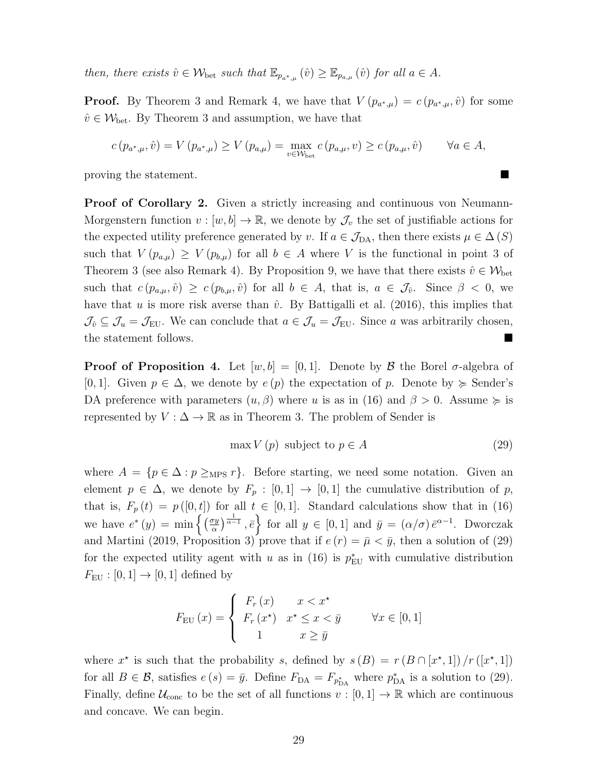then, there exists  $\hat{v} \in \mathcal{W}_{\text{bet}}$  such that  $\mathbb{E}_{p_{a^*,\mu}}(\hat{v}) \geq \mathbb{E}_{p_{a,\mu}}(\hat{v})$  for all  $a \in A$ .

**Proof.** By Theorem 3 and Remark 4, we have that  $V(p_{a^*,\mu}) = c(p_{a^*,\mu}, \hat{v})$  for some  $\hat{v} \in \mathcal{W}_{\text{bet}}$ . By Theorem 3 and assumption, we have that

$$
c(p_{a^*,\mu}, \hat{v}) = V(p_{a^*,\mu}) \ge V(p_{a,\mu}) = \max_{v \in \mathcal{W}_{\text{bet}}} c(p_{a,\mu}, v) \ge c(p_{a,\mu}, \hat{v}) \qquad \forall a \in A,
$$

proving the statement.

Proof of Corollary 2. Given a strictly increasing and continuous von Neumann-Morgenstern function  $v : [w, b] \to \mathbb{R}$ , we denote by  $\mathcal{J}_v$  the set of justifiable actions for the expected utility preference generated by v. If  $a \in \mathcal{J}_{DA}$ , then there exists  $\mu \in \Delta(S)$ such that  $V(p_{a,\mu}) \geq V(p_{b,\mu})$  for all  $b \in A$  where V is the functional in point 3 of Theorem 3 (see also Remark 4). By Proposition 9, we have that there exists  $\hat{v} \in \mathcal{W}_{\text{bet}}$ such that  $c(p_{a,\mu}, \hat{v}) \geq c(p_{b,\mu}, \hat{v})$  for all  $b \in A$ , that is,  $a \in \mathcal{J}_{\hat{v}}$ . Since  $\beta < 0$ , we have that u is more risk averse than  $\hat{v}$ . By Battigalli et al. (2016), this implies that  $\mathcal{J}_{\hat{v}} \subseteq \mathcal{J}_{u} = \mathcal{J}_{\text{EU}}$ . We can conclude that  $a \in \mathcal{J}_{u} = \mathcal{J}_{\text{EU}}$ . Since a was arbitrarily chosen, the statement follows.

**Proof of Proposition 4.** Let  $[w, b] = [0, 1]$ . Denote by  $\beta$  the Borel  $\sigma$ -algebra of [0, 1]. Given  $p \in \Delta$ , we denote by  $e(p)$  the expectation of p. Denote by  $\succeq$  Sender's DA preference with parameters  $(u, \beta)$  where u is as in (16) and  $\beta > 0$ . Assume  $\succeq$  is represented by  $V : \Delta \to \mathbb{R}$  as in Theorem 3. The problem of Sender is

$$
\max V(p) \text{ subject to } p \in A \tag{29}
$$

where  $A = \{p \in \Delta : p \geq_{MPS} r\}.$  Before starting, we need some notation. Given an element  $p \in \Delta$ , we denote by  $F_p : [0,1] \rightarrow [0,1]$  the cumulative distribution of p, that is,  $F_p(t) = p([0, t])$  for all  $t \in [0, 1]$ . Standard calculations show that in (16) we have  $e^*(y) = \min \left\{ \left( \frac{\sigma y}{\alpha} \right) \right\}$  $\left\{\frac{xy}{\alpha}\right\} \stackrel{1}{\alpha^{-1}}$ ,  $\bar{e}$  for all  $y \in [0,1]$  and  $\bar{y} = (\alpha/\sigma) \bar{e}^{\alpha-1}$ . Dworczak and Martini (2019, Proposition 3) prove that if  $e(r) = \bar{\mu} < \bar{y}$ , then a solution of (29) for the expected utility agent with u as in (16) is  $p_{\text{EU}}^*$  with cumulative distribution  $F_{\text{EU}} : [0, 1] \rightarrow [0, 1]$  defined by

$$
F_{\text{EU}}(x) = \begin{cases} F_r(x) & x < x^\star \\ F_r(x^\star) & x^\star \le x < \bar{y} \\ 1 & x \ge \bar{y} \end{cases} \quad \forall x \in [0, 1]
$$

where  $x^*$  is such that the probability s, defined by  $s(B) = r(B \cap [x^*,1])/r([x^*,1])$ for all  $B \in \mathcal{B}$ , satisfies  $e(s) = \bar{y}$ . Define  $F_{\text{DA}} = F_{p_{\text{DA}}^*}$  where  $p_{\text{DA}}^*$  is a solution to (29). Finally, define  $\mathcal{U}_{\text{conc}}$  to be the set of all functions  $v : [0, 1] \to \mathbb{R}$  which are continuous and concave. We can begin.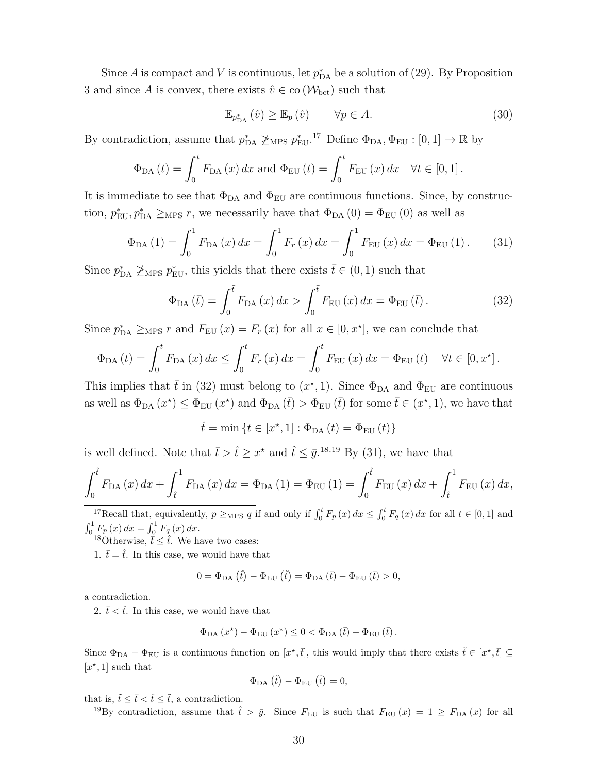Since A is compact and V is continuous, let  $p_{\text{DA}}^*$  be a solution of (29). By Proposition 3 and since A is convex, there exists  $\hat{v} \in \overline{co}(\mathcal{W}_{\text{bet}})$  such that

$$
\mathbb{E}_{p_{\text{DA}}^*}\left(\hat{v}\right) \ge \mathbb{E}_p\left(\hat{v}\right) \qquad \forall p \in A. \tag{30}
$$

By contradiction, assume that  $p_{\text{DA}}^* \not\geq_{\text{MPS}} p_{\text{EU}}^*$ .<sup>17</sup> Define  $\Phi_{\text{DA}}, \Phi_{\text{EU}} : [0, 1] \to \mathbb{R}$  by

$$
\Phi_{\text{DA}}(t) = \int_0^t F_{\text{DA}}(x) dx \text{ and } \Phi_{\text{EU}}(t) = \int_0^t F_{\text{EU}}(x) dx \quad \forall t \in [0, 1].
$$

It is immediate to see that  $\Phi_{DA}$  and  $\Phi_{EU}$  are continuous functions. Since, by construction,  $p_{EU}^*$ ,  $p_{DA}^* \geq_{MPS} r$ , we necessarily have that  $\Phi_{DA}(0) = \Phi_{EU}(0)$  as well as

$$
\Phi_{DA}(1) = \int_0^1 F_{DA}(x) dx = \int_0^1 F_r(x) dx = \int_0^1 F_{EU}(x) dx = \Phi_{EU}(1).
$$
 (31)

Since  $p_{\text{DA}}^* \not\geq_{\text{MPS}} p_{\text{EU}}^*$ , this yields that there exists  $\bar{t} \in (0, 1)$  such that

$$
\Phi_{\text{DA}}\left(\bar{t}\right) = \int_0^{\bar{t}} F_{\text{DA}}\left(x\right) dx > \int_0^{\bar{t}} F_{\text{EU}}\left(x\right) dx = \Phi_{\text{EU}}\left(\bar{t}\right). \tag{32}
$$

Since  $p_{\text{DA}}^* \geq_{\text{MPS}} r$  and  $F_{\text{EU}}(x) = F_r(x)$  for all  $x \in [0, x^*]$ , we can conclude that

$$
\Phi_{DA}(t) = \int_0^t F_{DA}(x) dx \le \int_0^t F_r(x) dx = \int_0^t F_{EU}(x) dx = \Phi_{EU}(t) \quad \forall t \in [0, x^*].
$$

This implies that  $\bar{t}$  in (32) must belong to  $(x^*, 1)$ . Since  $\Phi_{DA}$  and  $\Phi_{EU}$  are continuous as well as  $\Phi_{DA}(x^*) \leq \Phi_{EU}(x^*)$  and  $\Phi_{DA}(\bar{t}) > \Phi_{EU}(\bar{t})$  for some  $\bar{t} \in (x^*, 1)$ , we have that

 $\hat{t} = \min \{ t \in [x^*, 1] : \Phi_{DA} (t) = \Phi_{EU} (t) \}$ 

is well defined. Note that  $\bar{t} > \hat{t} \geq x^*$  and  $\hat{t} \leq \bar{y}^{18,19}$  By (31), we have that

$$
\int_{0}^{\hat{t}} F_{\text{DA}}(x) dx + \int_{\hat{t}}^{1} F_{\text{DA}}(x) dx = \Phi_{\text{DA}}(1) = \Phi_{\text{EU}}(1) = \int_{0}^{\hat{t}} F_{\text{EU}}(x) dx + \int_{\hat{t}}^{1} F_{\text{EU}}(x) dx,
$$

<sup>17</sup>Recall that, equivalently,  $p \ge_{MPS} q$  if and only if  $\int_0^t F_p(x) dx \le \int_0^t F_q(x) dx$  for all  $t \in [0,1]$  and  $\int_0^1 F_p(x) dx = \int_0^1 F_q(x) dx.$ 

<sup>18</sup>Otherwise,  $\tilde{t} \leq \hat{t}$ . We have two cases:

1.  $\bar{t} = \hat{t}$ . In this case, we would have that

$$
0 = \Phi_{DA}(\hat{t}) - \Phi_{EU}(\hat{t}) = \Phi_{DA}(\bar{t}) - \Phi_{EU}(\bar{t}) > 0,
$$

a contradiction.

2.  $\bar{t} < \hat{t}$ . In this case, we would have that

$$
\Phi_{\mathrm{DA}}\left(x^{\star}\right) - \Phi_{\mathrm{EU}}\left(x^{\star}\right) \leq 0 < \Phi_{\mathrm{DA}}\left(\bar{t}\right) - \Phi_{\mathrm{EU}}\left(\bar{t}\right).
$$

Since  $\Phi_{DA} - \Phi_{EU}$  is a continuous function on  $[x^*, \bar{t}],$  this would imply that there exists  $\tilde{t} \in [x^*, \bar{t}] \subseteq$  $[x^*, 1]$  such that

$$
\Phi_{\text{DA}}\left(\tilde{t}\right) - \Phi_{\text{EU}}\left(\tilde{t}\right) = 0,
$$

that is,  $\tilde{t} \leq \bar{t} < \hat{t} \leq \tilde{t}$ , a contradiction.

<sup>19</sup>By contradiction, assume that  $\hat{t} > \bar{y}$ . Since  $F_{\text{EU}}$  is such that  $F_{\text{EU}}(x) = 1 \ge F_{\text{DA}}(x)$  for all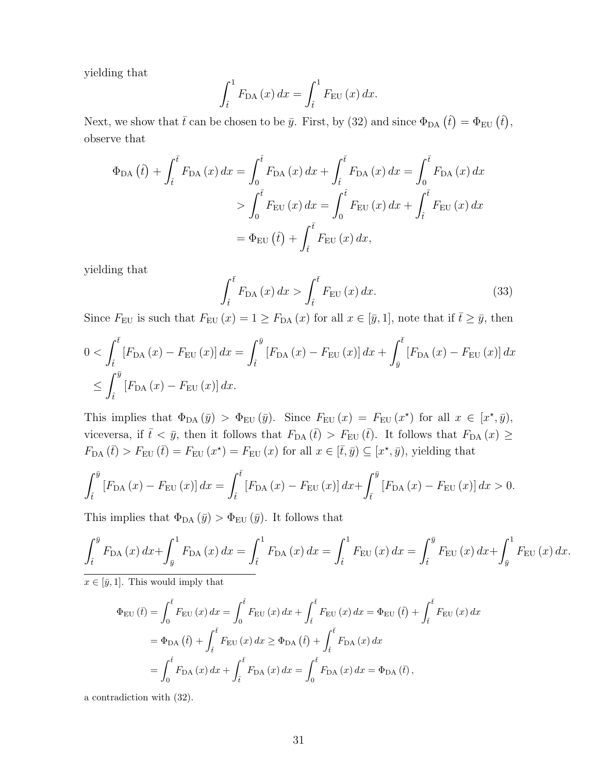yielding that

$$
\int_{\hat{t}}^{1} F_{\text{DA}}(x) dx = \int_{\hat{t}}^{1} F_{\text{EU}}(x) dx.
$$

Next, we show that  $\bar{t}$  can be chosen to be  $\bar{y}$ . First, by (32) and since  $\Phi_{DA}(\hat{t}) = \Phi_{EU}(\hat{t})$ , observe that

$$
\Phi_{DA}(\hat{t}) + \int_{\hat{t}}^{\bar{t}} F_{DA}(x) dx = \int_{0}^{\hat{t}} F_{DA}(x) dx + \int_{\hat{t}}^{\bar{t}} F_{DA}(x) dx = \int_{0}^{\bar{t}} F_{DA}(x) dx
$$
  
\n
$$
> \int_{0}^{\bar{t}} F_{EU}(x) dx = \int_{0}^{\hat{t}} F_{EU}(x) dx + \int_{\hat{t}}^{\bar{t}} F_{EU}(x) dx
$$
  
\n
$$
= \Phi_{EU}(\hat{t}) + \int_{\hat{t}}^{\bar{t}} F_{EU}(x) dx,
$$

yielding that

$$
\int_{\hat{t}}^{\bar{t}} F_{\text{DA}}(x) dx > \int_{\hat{t}}^{\bar{t}} F_{\text{EU}}(x) dx.
$$
 (33)

Since  $F_{\text{EU}}$  is such that  $F_{\text{EU}}(x) = 1 \ge F_{\text{DA}}(x)$  for all  $x \in [\bar{y}, 1]$ , note that if  $\bar{t} \ge \bar{y}$ , then

$$
0 < \int_{\hat{t}}^{\bar{t}} \left[ F_{\text{DA}}(x) - F_{\text{EU}}(x) \right] dx = \int_{\hat{t}}^{\bar{y}} \left[ F_{\text{DA}}(x) - F_{\text{EU}}(x) \right] dx + \int_{\bar{y}}^{\bar{t}} \left[ F_{\text{DA}}(x) - F_{\text{EU}}(x) \right] dx
$$
  

$$
\leq \int_{\hat{t}}^{\bar{y}} \left[ F_{\text{DA}}(x) - F_{\text{EU}}(x) \right] dx.
$$

This implies that  $\Phi_{DA}(\bar{y}) > \Phi_{EU}(\bar{y})$ . Since  $F_{EU}(x) = F_{EU}(x^*)$  for all  $x \in [x^*, \bar{y})$ , viceversa, if  $\bar{t} < \bar{y}$ , then it follows that  $F_{\text{DA}}(\bar{t}) > F_{\text{EU}}(\bar{t})$ . It follows that  $F_{\text{DA}}(x) \ge$  $F_{\text{DA}}(\bar{t}) > F_{\text{EU}}(\bar{t}) = F_{\text{EU}}(x^*) = F_{\text{EU}}(x)$  for all  $x \in [\bar{t}, \bar{y}) \subseteq [x^*, \bar{y})$ , yielding that

$$
\int_{\hat{t}}^{\bar{y}} \left[ F_{\text{DA}}(x) - F_{\text{EU}}(x) \right] dx = \int_{\hat{t}}^{\bar{t}} \left[ F_{\text{DA}}(x) - F_{\text{EU}}(x) \right] dx + \int_{\bar{t}}^{\bar{y}} \left[ F_{\text{DA}}(x) - F_{\text{EU}}(x) \right] dx > 0.
$$

This implies that  $\Phi_{DA}(\bar{y}) > \Phi_{EU}(\bar{y})$ . It follows that

$$
\int_{\hat{t}}^{\bar{y}} F_{\text{DA}}(x) dx + \int_{\bar{y}}^{1} F_{\text{DA}}(x) dx = \int_{\hat{t}}^{1} F_{\text{DA}}(x) dx = \int_{\hat{t}}^{1} F_{\text{EU}}(x) dx = \int_{\hat{t}}^{\bar{y}} F_{\text{EU}}(x) dx + \int_{\bar{y}}^{1} F_{\text{EU}}(x) dx.
$$

 $x \in [\bar{y}, 1]$ . This would imply that

$$
\Phi_{\text{EU}}(\bar{t}) = \int_0^{\bar{t}} F_{\text{EU}}(x) dx = \int_0^{\hat{t}} F_{\text{EU}}(x) dx + \int_{\hat{t}}^{\bar{t}} F_{\text{EU}}(x) dx = \Phi_{\text{EU}}(\hat{t}) + \int_{\hat{t}}^{\bar{t}} F_{\text{EU}}(x) dx
$$
  
\n
$$
= \Phi_{\text{DA}}(\hat{t}) + \int_{\hat{t}}^{\bar{t}} F_{\text{EU}}(x) dx \ge \Phi_{\text{DA}}(\hat{t}) + \int_{\hat{t}}^{\bar{t}} F_{\text{DA}}(x) dx
$$
  
\n
$$
= \int_0^{\hat{t}} F_{\text{DA}}(x) dx + \int_{\hat{t}}^{\bar{t}} F_{\text{DA}}(x) dx = \int_0^{\bar{t}} F_{\text{DA}}(x) dx = \Phi_{\text{DA}}(\bar{t}),
$$

a contradiction with (32).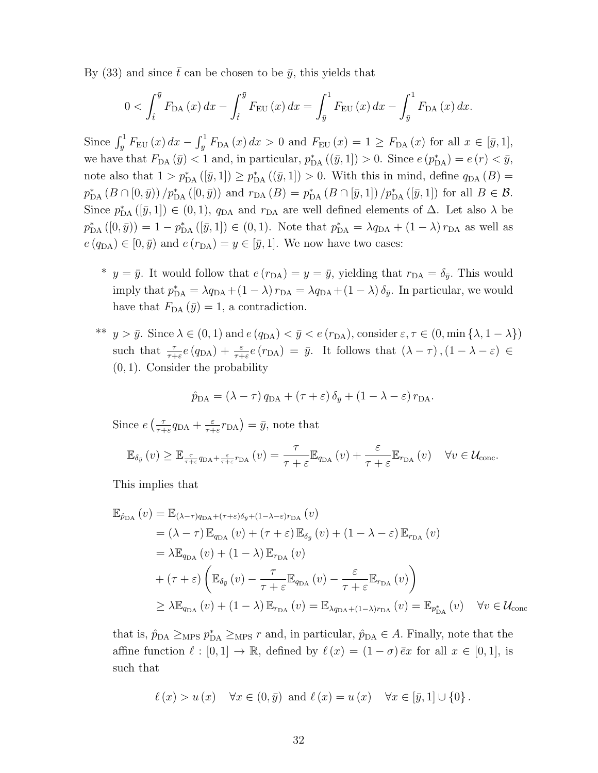By (33) and since  $\bar{t}$  can be chosen to be  $\bar{y}$ , this yields that

$$
0 < \int_{\hat{t}}^{\bar{y}} F_{\text{DA}}(x) dx - \int_{\hat{t}}^{\bar{y}} F_{\text{EU}}(x) dx = \int_{\bar{y}}^{1} F_{\text{EU}}(x) dx - \int_{\bar{y}}^{1} F_{\text{DA}}(x) dx.
$$

Since  $\int_{\bar{y}}^1 F_{\text{EU}}(x) dx - \int_{\bar{y}}^1 F_{\text{DA}}(x) dx > 0$  and  $F_{\text{EU}}(x) = 1 \ge F_{\text{DA}}(x)$  for all  $x \in [\bar{y}, 1]$ , we have that  $F_{\text{DA}}(\bar{y}) < 1$  and, in particular,  $p_{\text{DA}}^*((\bar{y}, 1]) > 0$ . Since  $e(p_{\text{DA}}^*) = e(r) < \bar{y}$ , note also that  $1 > p_{\text{DA}}^*([\bar{y}, 1]) \ge p_{\text{DA}}^*((\bar{y}, 1]) > 0$ . With this in mind, define  $q_{\text{DA}}(B) =$  $p_{\text{DA}}^{*}(B \cap [0, \bar{y}))/p_{\text{DA}}^{*}([0, \bar{y}))$  and  $r_{\text{DA}}(B) = p_{\text{DA}}^{*}(B \cap [\bar{y}, 1])/p_{\text{DA}}^{*}([\bar{y}, 1])$  for all  $B \in \mathcal{B}$ . Since  $p_{\text{DA}}^{*}([\bar{y},1]) \in (0,1)$ ,  $q_{\text{DA}}$  and  $r_{\text{DA}}$  are well defined elements of  $\Delta$ . Let also  $\lambda$  be  $p_{\text{DA}}^{*}([0,\bar{y}]) = 1 - p_{\text{DA}}^{*}([\bar{y},1]) \in (0,1)$ . Note that  $p_{\text{DA}}^{*} = \lambda q_{\text{DA}} + (1-\lambda) r_{\text{DA}}$  as well as  $e(q_{\text{DA}}) \in [0, \bar{y})$  and  $e(r_{\text{DA}}) = y \in [\bar{y}, 1]$ . We now have two cases:

- \*  $y = \bar{y}$ . It would follow that  $e(r_{DA}) = y = \bar{y}$ , yielding that  $r_{DA} = \delta_{\bar{y}}$ . This would imply that  $p_{\text{DA}}^* = \lambda q_{\text{DA}} + (1 - \lambda) r_{\text{DA}} = \lambda q_{\text{DA}} + (1 - \lambda) \delta_{\bar{y}}$ . In particular, we would have that  $F_{DA}(\bar{y}) = 1$ , a contradiction.
- <sup>\*\*</sup>  $y > \bar{y}$ . Since  $\lambda \in (0, 1)$  and  $e(q_{DA}) < \bar{y} < e(r_{DA})$ , consider  $\varepsilon, \tau \in (0, \min{\{\lambda, 1-\lambda\}})$ such that  $\frac{\tau}{\tau+\varepsilon}e(q_{\text{DA}})+\frac{\varepsilon}{\tau+\varepsilon}e(r_{\text{DA}})=\bar{y}$ . It follows that  $(\lambda-\tau), (1-\lambda-\varepsilon)\in$ (0, 1). Consider the probability

$$
\hat{p}_{\text{DA}} = (\lambda - \tau) q_{\text{DA}} + (\tau + \varepsilon) \, \delta_{\bar{y}} + (1 - \lambda - \varepsilon) \, r_{\text{DA}}.
$$

Since  $e\left(\frac{\tau}{\tau+1}\right)$  $rac{\tau}{\tau+\varepsilon}q_{\text{DA}} + \frac{\varepsilon}{\tau+\varepsilon}$  $\frac{\varepsilon}{\tau + \varepsilon} r_{\text{DA}}$  =  $\bar{y}$ , note that

$$
\mathbb{E}_{\delta_{\bar{y}}}\left(v\right) \geq \mathbb{E}_{\frac{\tau}{\tau+\varepsilon}q_{\text{DA}}+\frac{\varepsilon}{\tau+\varepsilon}r_{\text{DA}}}\left(v\right) = \frac{\tau}{\tau+\varepsilon}\mathbb{E}_{q_{\text{DA}}}\left(v\right) + \frac{\varepsilon}{\tau+\varepsilon}\mathbb{E}_{r_{\text{DA}}}\left(v\right) \quad \forall v \in \mathcal{U}_{\text{conc}}.
$$

This implies that

$$
\mathbb{E}_{\hat{p}_{DA}}(v) = \mathbb{E}_{(\lambda-\tau)q_{DA}+(\tau+\varepsilon)\delta_{\bar{y}}+(1-\lambda-\varepsilon)r_{DA}}(v)
$$
  
\n
$$
= (\lambda-\tau)\mathbb{E}_{q_{DA}}(v) + (\tau+\varepsilon)\mathbb{E}_{\delta_{\bar{y}}}(v) + (1-\lambda-\varepsilon)\mathbb{E}_{r_{DA}}(v)
$$
  
\n
$$
= \lambda \mathbb{E}_{q_{DA}}(v) + (1-\lambda)\mathbb{E}_{r_{DA}}(v)
$$
  
\n
$$
+ (\tau+\varepsilon)\left(\mathbb{E}_{\delta_{\bar{y}}}(v) - \frac{\tau}{\tau+\varepsilon}\mathbb{E}_{q_{DA}}(v) - \frac{\varepsilon}{\tau+\varepsilon}\mathbb{E}_{r_{DA}}(v)\right)
$$
  
\n
$$
\geq \lambda \mathbb{E}_{q_{DA}}(v) + (1-\lambda)\mathbb{E}_{r_{DA}}(v) = \mathbb{E}_{\lambda q_{DA}+(1-\lambda)r_{DA}}(v) = \mathbb{E}_{p_{DA}^*}(v) \quad \forall v \in \mathcal{U}_{\text{conc}}
$$

that is,  $\hat{p}_{DA} \ge_{MPS} p_{DA}^* \ge_{MPS} r$  and, in particular,  $\hat{p}_{DA} \in A$ . Finally, note that the affine function  $\ell : [0, 1] \to \mathbb{R}$ , defined by  $\ell (x) = (1 - \sigma) \overline{e}x$  for all  $x \in [0, 1]$ , is such that

$$
\ell(x) > u(x) \quad \forall x \in (0, \bar{y}) \text{ and } \ell(x) = u(x) \quad \forall x \in [\bar{y}, 1] \cup \{0\}.
$$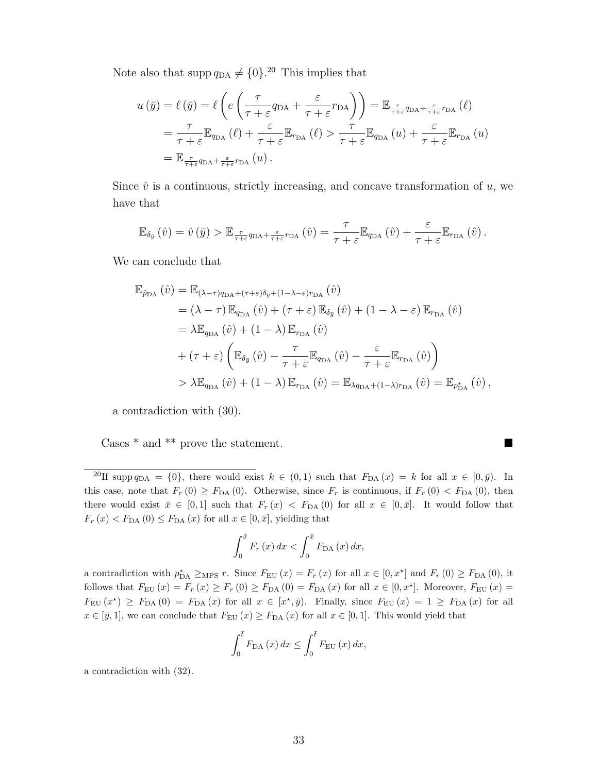Note also that supp  $q_{DA} \neq \{0\}$ .<sup>20</sup> This implies that

$$
u(\bar{y}) = \ell(\bar{y}) = \ell \left( e \left( \frac{\tau}{\tau + \varepsilon} q_{DA} + \frac{\varepsilon}{\tau + \varepsilon} r_{DA} \right) \right) = \mathbb{E}_{\frac{\tau}{\tau + \varepsilon} q_{DA} + \frac{\varepsilon}{\tau + \varepsilon} r_{DA}} (\ell)
$$
  
=  $\frac{\tau}{\tau + \varepsilon} \mathbb{E}_{q_{DA}} (\ell) + \frac{\varepsilon}{\tau + \varepsilon} \mathbb{E}_{r_{DA}} (\ell) > \frac{\tau}{\tau + \varepsilon} \mathbb{E}_{q_{DA}} (u) + \frac{\varepsilon}{\tau + \varepsilon} \mathbb{E}_{r_{DA}} (u)$   
=  $\mathbb{E}_{\frac{\tau}{\tau + \varepsilon} q_{DA} + \frac{\varepsilon}{\tau + \varepsilon} r_{DA}} (u).$ 

Since  $\hat{v}$  is a continuous, strictly increasing, and concave transformation of  $u$ , we have that

$$
\mathbb{E}_{\delta_{\bar{y}}}\left(\hat{v}\right) = \hat{v}\left(\bar{y}\right) > \mathbb{E}_{\frac{\tau}{\tau+\varepsilon}q_{\mathrm{DA}}+\frac{\varepsilon}{\tau+\varepsilon}r_{\mathrm{DA}}}\left(\hat{v}\right) = \frac{\tau}{\tau+\varepsilon}\mathbb{E}_{q_{\mathrm{DA}}}\left(\hat{v}\right) + \frac{\varepsilon}{\tau+\varepsilon}\mathbb{E}_{r_{\mathrm{DA}}}\left(\hat{v}\right).
$$

We can conclude that

$$
\mathbb{E}_{\hat{p}_{DA}}(\hat{v}) = \mathbb{E}_{(\lambda-\tau)q_{DA}+(\tau+\varepsilon)\delta_{\bar{y}}+(1-\lambda-\varepsilon)r_{DA}}(\hat{v})
$$
\n
$$
= (\lambda-\tau)\,\mathbb{E}_{q_{DA}}(\hat{v}) + (\tau+\varepsilon)\,\mathbb{E}_{\delta_{\bar{y}}}(\hat{v}) + (1-\lambda-\varepsilon)\,\mathbb{E}_{r_{DA}}(\hat{v})
$$
\n
$$
= \lambda\mathbb{E}_{q_{DA}}(\hat{v}) + (1-\lambda)\,\mathbb{E}_{r_{DA}}(\hat{v})
$$
\n
$$
+ (\tau+\varepsilon)\left(\mathbb{E}_{\delta_{\bar{y}}}(\hat{v}) - \frac{\tau}{\tau+\varepsilon}\mathbb{E}_{q_{DA}}(\hat{v}) - \frac{\varepsilon}{\tau+\varepsilon}\mathbb{E}_{r_{DA}}(\hat{v})\right)
$$
\n
$$
> \lambda\mathbb{E}_{q_{DA}}(\hat{v}) + (1-\lambda)\,\mathbb{E}_{r_{DA}}(\hat{v}) = \mathbb{E}_{\lambda q_{DA}+(1-\lambda)r_{DA}}(\hat{v}) = \mathbb{E}_{p_{DA}^*}(\hat{v}),
$$

a contradiction with (30).

Cases \* and \*\* prove the statement.  $\hfill\blacksquare$ 

$$
\int_0^{\bar{x}} F_r(x) dx < \int_0^{\bar{x}} F_{\text{DA}}(x) dx,
$$

a contradiction with  $p_{\text{DA}}^* \geq_{\text{MPS}} r$ . Since  $F_{\text{EU}}(x) = F_r(x)$  for all  $x \in [0, x^*]$  and  $F_r(0) \geq F_{\text{DA}}(0)$ , it follows that  $F_{\text{EU}}(x) = F_r(x) \geq F_r(0) \geq F_{\text{DA}}(0) = F_{\text{DA}}(x)$  for all  $x \in [0, x^*]$ . Moreover,  $F_{\text{EU}}(x) =$  $F_{\text{EU}}(x^*) \geq F_{\text{DA}}(0) = F_{\text{DA}}(x)$  for all  $x \in [x^*, \bar{y}]$ . Finally, since  $F_{\text{EU}}(x) = 1 \geq F_{\text{DA}}(x)$  for all  $x \in [\bar{y}, 1]$ , we can conclude that  $F_{\text{EU}}(x) \geq F_{\text{DA}}(x)$  for all  $x \in [0, 1]$ . This would yield that

$$
\int_0^{\bar{t}} F_{\text{DA}}(x) dx \le \int_0^{\bar{t}} F_{\text{EU}}(x) dx,
$$

a contradiction with (32).

<sup>&</sup>lt;sup>20</sup>If supp  $q_{DA} = \{0\}$ , there would exist  $k \in (0,1)$  such that  $F_{DA}(x) = k$  for all  $x \in [0, \bar{y})$ . In this case, note that  $F_r(0) \geq F_{DA}(0)$ . Otherwise, since  $F_r$  is continuous, if  $F_r(0) < F_{DA}(0)$ , then there would exist  $\bar{x} \in [0,1]$  such that  $F_r(x) < F_{DA}(0)$  for all  $x \in [0,\bar{x}]$ . It would follow that  $F_r(x) < F_{\text{DA}}(0) \leq F_{\text{DA}}(x)$  for all  $x \in [0, \bar{x}]$ , yielding that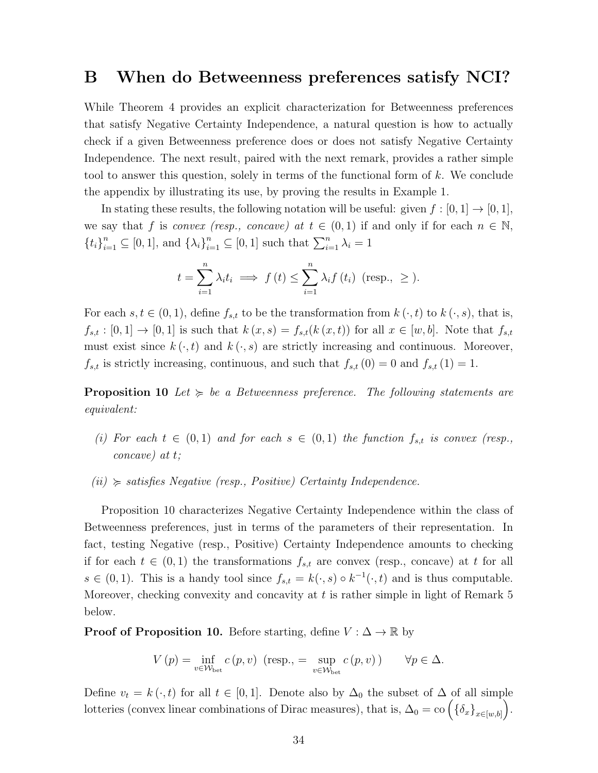### B When do Betweenness preferences satisfy NCI?

While Theorem 4 provides an explicit characterization for Betweenness preferences that satisfy Negative Certainty Independence, a natural question is how to actually check if a given Betweenness preference does or does not satisfy Negative Certainty Independence. The next result, paired with the next remark, provides a rather simple tool to answer this question, solely in terms of the functional form of k. We conclude the appendix by illustrating its use, by proving the results in Example 1.

In stating these results, the following notation will be useful: given  $f : [0,1] \rightarrow [0,1]$ , we say that f is convex (resp., concave) at  $t \in (0,1)$  if and only if for each  $n \in \mathbb{N}$ ,  ${t_i}_{i=1}^n \subseteq [0,1]$ , and  ${\lambda_i}_{i=1}^n \subseteq [0,1]$  such that  $\sum_{i=1}^n \lambda_i = 1$ 

$$
t = \sum_{i=1}^{n} \lambda_i t_i \implies f(t) \le \sum_{i=1}^{n} \lambda_i f(t_i) \text{ (resp., } \ge ).
$$

For each  $s, t \in (0, 1)$ , define  $f_{s,t}$  to be the transformation from  $k(\cdot, t)$  to  $k(\cdot, s)$ , that is,  $f_{s,t} : [0,1] \rightarrow [0,1]$  is such that  $k(x,s) = f_{s,t}(k(x,t))$  for all  $x \in [w,b]$ . Note that  $f_{s,t}$ must exist since  $k(\cdot, t)$  and  $k(\cdot, s)$  are strictly increasing and continuous. Moreover,  $f_{s,t}$  is strictly increasing, continuous, and such that  $f_{s,t} (0) = 0$  and  $f_{s,t} (1) = 1$ .

**Proposition 10** Let  $\succeq$  be a Betweenness preference. The following statements are equivalent:

- (i) For each  $t \in (0,1)$  and for each  $s \in (0,1)$  the function  $f_{s,t}$  is convex (resp., concave) at t;
- $(ii) \geq satisfies Negative (resp., Positive) Certainly Independence.$

Proposition 10 characterizes Negative Certainty Independence within the class of Betweenness preferences, just in terms of the parameters of their representation. In fact, testing Negative (resp., Positive) Certainty Independence amounts to checking if for each  $t \in (0,1)$  the transformations  $f_{s,t}$  are convex (resp., concave) at t for all  $s \in (0,1)$ . This is a handy tool since  $f_{s,t} = k(\cdot, s) \circ k^{-1}(\cdot, t)$  and is thus computable. Moreover, checking convexity and concavity at  $t$  is rather simple in light of Remark  $5$ below.

**Proof of Proposition 10.** Before starting, define  $V : \Delta \to \mathbb{R}$  by

$$
V(p) = \inf_{v \in \mathcal{W}_{\text{bet}}} c(p, v) \text{ (resp., } = \sup_{v \in \mathcal{W}_{\text{bet}}} c(p, v) \text{)} \quad \forall p \in \Delta.
$$

Define  $v_t = k(\cdot, t)$  for all  $t \in [0, 1]$ . Denote also by  $\Delta_0$  the subset of  $\Delta$  of all simple lotteries (convex linear combinations of Dirac measures), that is,  $\Delta_0 = \text{co} \left( \{ \delta_x \}_{x \in [w, b]} \right)$ .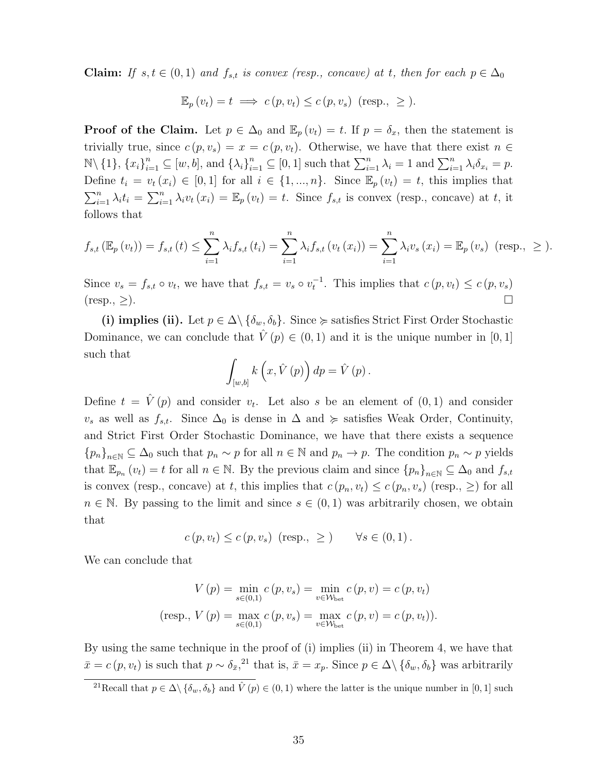**Claim:** If  $s, t \in (0, 1)$  and  $f_{s,t}$  is convex (resp., concave) at t, then for each  $p \in \Delta_0$ 

$$
\mathbb{E}_p(v_t) = t \implies c(p, v_t) \le c(p, v_s) \text{ (resp., } \ge).
$$

**Proof of the Claim.** Let  $p \in \Delta_0$  and  $\mathbb{E}_p(v_t) = t$ . If  $p = \delta_x$ , then the statement is trivially true, since  $c(p, v_s) = x = c(p, v_t)$ . Otherwise, we have that there exist  $n \in$  $\mathbb{N}\setminus\{1\},\{x_i\}_{i=1}^n\subseteq[w,b],\$  and  $\{\lambda_i\}_{i=1}^n\subseteq[0,1]$  such that  $\sum_{i=1}^n\lambda_i=1$  and  $\sum_{i=1}^n\lambda_i\delta_{x_i}=p$ . Define  $t_i = v_t(x_i) \in [0,1]$  for all  $i \in \{1,...,n\}$ . Since  $\mathbb{E}_p(v_t) = t$ , this implies that  $\sum_{i=1}^n \lambda_i t_i = \sum_{i=1}^n \lambda_i v_t(x_i) = \mathbb{E}_p(v_t) = t$ . Since  $f_{s,t}$  is convex (resp., concave) at t, it follows that

$$
f_{s,t}(\mathbb{E}_p(v_t)) = f_{s,t}(t) \le \sum_{i=1}^n \lambda_i f_{s,t}(t_i) = \sum_{i=1}^n \lambda_i f_{s,t}(v_t(x_i)) = \sum_{i=1}^n \lambda_i v_s(x_i) = \mathbb{E}_p(v_s)
$$
 (resp.,  $\ge$ ).

Since  $v_s = f_{s,t} \circ v_t$ , we have that  $f_{s,t} = v_s \circ v_t^{-1}$ . This implies that  $c(p, v_t) \leq c(p, v_s)$  $(\text{resp.}, \geq).$ 

(i) implies (ii). Let  $p \in \Delta \setminus {\delta_w, \delta_b}$ . Since  $\succcurlyeq$  satisfies Strict First Order Stochastic Dominance, we can conclude that  $\hat{V}(p) \in (0,1)$  and it is the unique number in [0, 1] such that

$$
\int_{[w,b]} k\left(x, \hat{V}\left(p\right)\right) dp = \hat{V}\left(p\right).
$$

Define  $t = \hat{V}(p)$  and consider  $v_t$ . Let also s be an element of  $(0,1)$  and consider  $v_s$  as well as  $f_{s,t}$ . Since  $\Delta_0$  is dense in  $\Delta$  and  $\succeq$  satisfies Weak Order, Continuity, and Strict First Order Stochastic Dominance, we have that there exists a sequence  ${p_n}_{n\in\mathbb{N}}\subseteq\Delta_0$  such that  $p_n\sim p$  for all  $n\in\mathbb{N}$  and  $p_n\to p$ . The condition  $p_n\sim p$  yields that  $\mathbb{E}_{p_n}(v_t) = t$  for all  $n \in \mathbb{N}$ . By the previous claim and since  ${p_n}_{n \in \mathbb{N}} \subseteq \Delta_0$  and  $f_{s,t}$ is convex (resp., concave) at t, this implies that  $c(p_n, v_t) \le c(p_n, v_s)$  (resp.,  $\ge$ ) for all  $n \in \mathbb{N}$ . By passing to the limit and since  $s \in (0,1)$  was arbitrarily chosen, we obtain that

$$
c(p, v_t) \leq c(p, v_s) \text{ (resp., } \geq \text{)} \quad \forall s \in (0, 1).
$$

We can conclude that

$$
V(p) = \min_{s \in (0,1)} c(p, v_s) = \min_{v \in W_{\text{bet}}} c(p, v) = c(p, v_t)
$$
  
(resp., 
$$
V(p) = \max_{s \in (0,1)} c(p, v_s) = \max_{v \in W_{\text{bet}}} c(p, v) = c(p, v_t)).
$$

By using the same technique in the proof of (i) implies (ii) in Theorem 4, we have that  $\bar{x} = c(p, v_t)$  is such that  $p \sim \delta_{\bar{x}}$ ,<sup>21</sup> that is,  $\bar{x} = x_p$ . Since  $p \in \Delta \setminus {\delta_w, \delta_b}$  was arbitrarily

<sup>&</sup>lt;sup>21</sup>Recall that  $p \in \Delta \setminus {\delta_w, \delta_b}$  and  $\hat{V}(p) \in (0, 1)$  where the latter is the unique number in [0, 1] such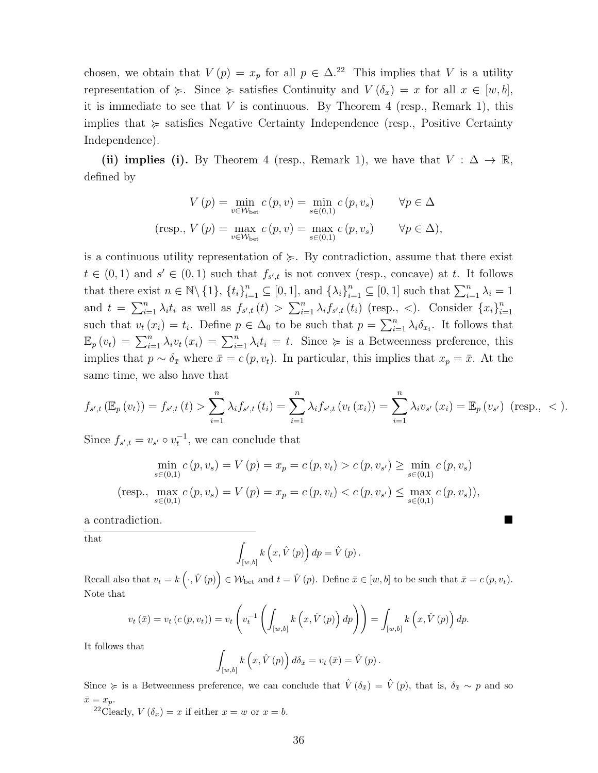chosen, we obtain that  $V(p) = x_p$  for all  $p \in \Delta^{22}$  This implies that V is a utility representation of  $\succcurlyeq$ . Since  $\succcurlyeq$  satisfies Continuity and  $V(\delta_x) = x$  for all  $x \in [w, b]$ , it is immediate to see that  $V$  is continuous. By Theorem 4 (resp., Remark 1), this implies that  $\succeq$  satisfies Negative Certainty Independence (resp., Positive Certainty Independence).

(ii) implies (i). By Theorem 4 (resp., Remark 1), we have that  $V : \Delta \to \mathbb{R}$ , defined by

$$
V(p) = \min_{v \in \mathcal{W}_{\text{bet}}} c(p, v) = \min_{s \in (0,1)} c(p, v_s) \qquad \forall p \in \Delta
$$
  
(resp., 
$$
V(p) = \max_{v \in \mathcal{W}_{\text{bet}}} c(p, v) = \max_{s \in (0,1)} c(p, v_s) \qquad \forall p \in \Delta
$$
),

is a continuous utility representation of  $\succeq$ . By contradiction, assume that there exist  $t \in (0,1)$  and  $s' \in (0,1)$  such that  $f_{s',t}$  is not convex (resp., concave) at t. It follows that there exist  $n \in \mathbb{N} \setminus \{1\}$ ,  $\{t_i\}_{i=1}^n \subseteq [0,1]$ , and  $\{\lambda_i\}_{i=1}^n \subseteq [0,1]$  such that  $\sum_{i=1}^n \lambda_i = 1$ and  $t = \sum_{i=1}^n \lambda_i t_i$  as well as  $f_{s',t}(t) > \sum_{i=1}^n \lambda_i f_{s',t}(t_i)$  (resp., <). Consider  $\{x_i\}_{i=1}^n$  $i=1$ such that  $v_t(x_i) = t_i$ . Define  $p \in \Delta_0$  to be such that  $p = \sum_{i=1}^n \lambda_i \delta_{x_i}$ . It follows that  $\mathbb{E}_p(v_t) = \sum_{i=1}^n \lambda_i v_t(x_i) = \sum_{i=1}^n \lambda_i t_i = t.$  Since  $\succcurlyeq$  is a Betweenness preference, this implies that  $p \sim \delta_{\bar{x}}$  where  $\bar{x} = c(p, v_t)$ . In particular, this implies that  $x_p = \bar{x}$ . At the same time, we also have that

$$
f_{s',t}(\mathbb{E}_p(v_t)) = f_{s',t}(t) > \sum_{i=1}^n \lambda_i f_{s',t}(t_i) = \sum_{i=1}^n \lambda_i f_{s',t}(v_t(x_i)) = \sum_{i=1}^n \lambda_i v_{s'}(x_i) = \mathbb{E}_p(v_{s'}) \text{ (resp., } <).
$$

Since  $f_{s',t} = v_{s'} \circ v_t^{-1}$ , we can conclude that

$$
\min_{s \in (0,1)} c(p, v_s) = V(p) = x_p = c(p, v_t) > c(p, v_{s'}) \ge \min_{s \in (0,1)} c(p, v_s)
$$
  
(resp., 
$$
\max_{s \in (0,1)} c(p, v_s) = V(p) = x_p = c(p, v_t) < c(p, v_{s'}) \le \max_{s \in (0,1)} c(p, v_s),
$$

a contradiction.

that

$$
\int_{[w,b]} k\left(x, \hat{V}\left(p\right)\right) dp = \hat{V}\left(p\right).
$$

Recall also that  $v_t = k \left( \cdot, \hat{V}(p) \right) \in W_{\text{bet}}$  and  $t = \hat{V}(p)$ . Define  $\bar{x} \in [w, b]$  to be such that  $\bar{x} = c(p, v_t)$ . Note that

$$
v_t(\bar{x}) = v_t(c(p, v_t)) = v_t\left(v_t^{-1}\left(\int_{[w,b]} k\left(x, \hat{V}(p)\right) dp\right)\right) = \int_{[w,b]} k\left(x, \hat{V}(p)\right) dp.
$$

It follows that

$$
\int_{[w,b]} k\left(x, \hat{V}\left(p\right)\right) d\delta_{\bar{x}} = v_t\left(\bar{x}\right) = \hat{V}\left(p\right).
$$

Since  $\succcurlyeq$  is a Betweenness preference, we can conclude that  $\hat{V}(\delta_{\bar{x}}) = \hat{V}(p)$ , that is,  $\delta_{\bar{x}} \sim p$  and so  $\bar{x} = x_p.$ 

<sup>22</sup>Clearly,  $V(\delta_x) = x$  if either  $x = w$  or  $x = b$ .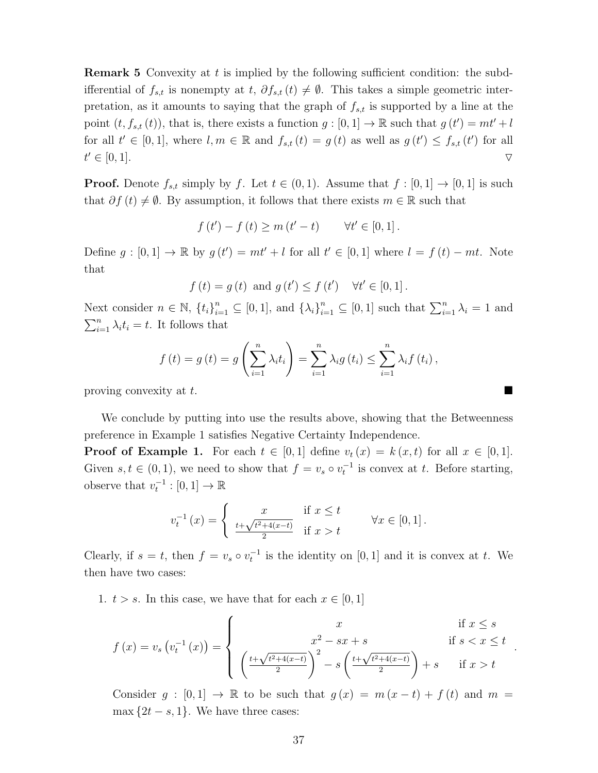**Remark 5** Convexity at t is implied by the following sufficient condition: the subdifferential of  $f_{s,t}$  is nonempty at  $t, \partial f_{s,t} (t) \neq \emptyset$ . This takes a simple geometric interpretation, as it amounts to saying that the graph of  $f_{s,t}$  is supported by a line at the point  $(t, f_{s,t}(t))$ , that is, there exists a function  $g: [0,1] \to \mathbb{R}$  such that  $g(t') = mt' + l$ for all  $t' \in [0,1]$ , where  $l, m \in \mathbb{R}$  and  $f_{s,t}(t) = g(t)$  as well as  $g(t') \leq f_{s,t}(t')$  for all  $t' \in [0,1].$  $\forall \in [0,1].$ 

**Proof.** Denote  $f_{s,t}$  simply by f. Let  $t \in (0,1)$ . Assume that  $f : [0,1] \rightarrow [0,1]$  is such that  $\partial f(t) \neq \emptyset$ . By assumption, it follows that there exists  $m \in \mathbb{R}$  such that

$$
f(t') - f(t) \ge m(t'-t) \quad \forall t' \in [0,1].
$$

Define  $g: [0,1] \to \mathbb{R}$  by  $g(t') = mt' + l$  for all  $t' \in [0,1]$  where  $l = f(t) - mt$ . Note that

$$
f(t) = g(t)
$$
 and  $g(t') \le f(t')$   $\forall t' \in [0, 1].$ 

Next consider  $n \in \mathbb{N}$ ,  $\{t_i\}_{i=1}^n \subseteq [0,1]$ , and  $\{\lambda_i\}_{i=1}^n \subseteq [0,1]$  such that  $\sum_{i=1}^n \lambda_i = 1$  and  $\sum_{i=1}^{n} \lambda_i t_i = t$ . It follows that

$$
f(t) = g(t) = g\left(\sum_{i=1}^{n} \lambda_i t_i\right) = \sum_{i=1}^{n} \lambda_i g(t_i) \le \sum_{i=1}^{n} \lambda_i f(t_i),
$$

proving convexity at  $t$ .

We conclude by putting into use the results above, showing that the Betweenness preference in Example 1 satisfies Negative Certainty Independence.

**Proof of Example 1.** For each  $t \in [0,1]$  define  $v_t(x) = k(x,t)$  for all  $x \in [0,1]$ . Given  $s, t \in (0, 1)$ , we need to show that  $f = v_s \circ v_t^{-1}$  is convex at t. Before starting, observe that  $v_t^{-1} : [0, 1] \to \mathbb{R}$ 

$$
v_t^{-1}(x) = \begin{cases} x & \text{if } x \le t \\ \frac{t + \sqrt{t^2 + 4(x - t)}}{2} & \text{if } x > t \end{cases} \quad \forall x \in [0, 1].
$$

Clearly, if  $s = t$ , then  $f = v_s \circ v_t^{-1}$  is the identity on [0, 1] and it is convex at t. We then have two cases:

1.  $t > s$ . In this case, we have that for each  $x \in [0, 1]$ 

$$
f(x) = v_s(v_t^{-1}(x)) = \begin{cases} x & \text{if } x \le s \\ x^2 - sx + s & \text{if } s < x \le t \\ \left(\frac{t + \sqrt{t^2 + 4(x - t)}}{2}\right)^2 - s\left(\frac{t + \sqrt{t^2 + 4(x - t)}}{2}\right) + s & \text{if } x > t \end{cases}
$$

Consider  $g : [0,1] \to \mathbb{R}$  to be such that  $g(x) = m(x-t) + f(t)$  and  $m =$ max  $\{2t - s, 1\}$ . We have three cases: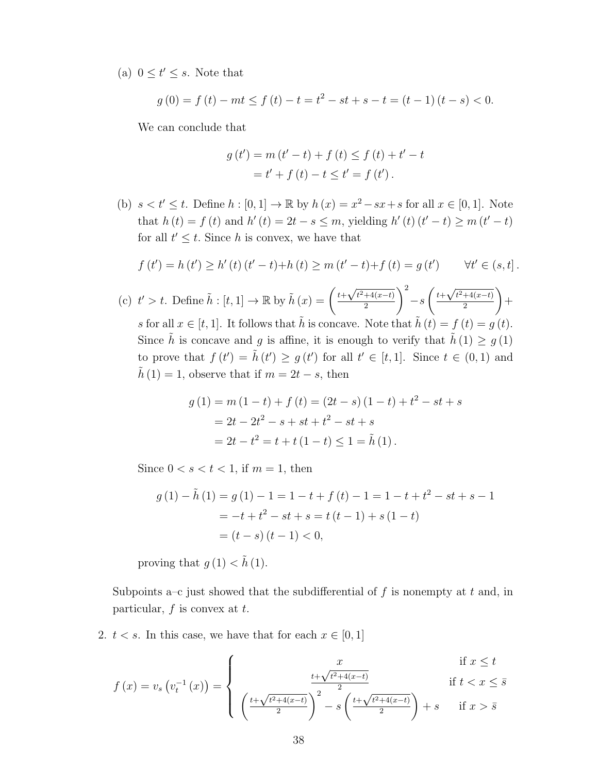(a)  $0 \le t' \le s$ . Note that

$$
g(0) = f(t) - mt \le f(t) - t = t^2 - st + s - t = (t - 1)(t - s) < 0.
$$

We can conclude that

$$
g(t') = m(t'-t) + f(t) \le f(t) + t' - t
$$
  
= t' + f(t) - t \le t' = f(t').

(b)  $s < t' \leq t$ . Define  $h : [0, 1] \to \mathbb{R}$  by  $h(x) = x^2 - sx + s$  for all  $x \in [0, 1]$ . Note that  $h(t) = f(t)$  and  $h'(t) = 2t - s \le m$ , yielding  $h'(t)(t'-t) \ge m(t'-t)$ for all  $t' \leq t$ . Since h is convex, we have that

$$
f(t') = h(t') \ge h'(t) (t'-t) + h(t) \ge m (t'-t) + f(t) = g(t') \qquad \forall t' \in (s,t].
$$

(c)  $t' > t$ . Define  $\tilde{h} : [t, 1] \to \mathbb{R}$  by  $\tilde{h}(x) = \left(\frac{t + \sqrt{t^2 + 4(x-t)}}{2}\right)$ 2  $\setminus^2$  $-s$  $\int t+\sqrt{t^2+4(x-t)}$ 2  $\setminus$  $+$ s for all  $x \in [t, 1]$ . It follows that  $\tilde{h}$  is concave. Note that  $\tilde{h}(t) = f(t) = g(t)$ . Since  $\tilde{h}$  is concave and g is affine, it is enough to verify that  $\tilde{h}(1) \geq g(1)$ to prove that  $f(t') = \tilde{h}(t') \geq g(t')$  for all  $t' \in [t, 1]$ . Since  $t \in (0, 1)$  and  $\tilde{h}(1) = 1$ , observe that if  $m = 2t - s$ , then

$$
g(1) = m(1-t) + f(t) = (2t - s)(1-t) + t^2 - st + s
$$
  
= 2t - 2t<sup>2</sup> - s + st + t<sup>2</sup> - st + s  
= 2t - t<sup>2</sup> = t + t(1 - t) \le 1 = \tilde{h}(1).

Since  $0 < s < t < 1$ , if  $m = 1$ , then

$$
g(1) - \tilde{h}(1) = g(1) - 1 = 1 - t + f(t) - 1 = 1 - t + t^2 - st + s - 1
$$
  
= -t + t<sup>2</sup> - st + s = t(t - 1) + s(1 - t)  
= (t - s)(t - 1) < 0,

proving that  $g(1) < \tilde{h}(1)$ .

Subpoints a–c just showed that the subdifferential of f is nonempty at t and, in particular,  $f$  is convex at  $t$ .

2.  $t < s$ . In this case, we have that for each  $x \in [0, 1]$ 

$$
f(x) = v_s \left( v_t^{-1}(x) \right) = \begin{cases} x & \text{if } x \le t \\ \left( \frac{t + \sqrt{t^2 + 4(x-t)}}{2} \right)^2 - s \left( \frac{t + \sqrt{t^2 + 4(x-t)}}{2} \right) + s & \text{if } x > \bar{s} \end{cases}
$$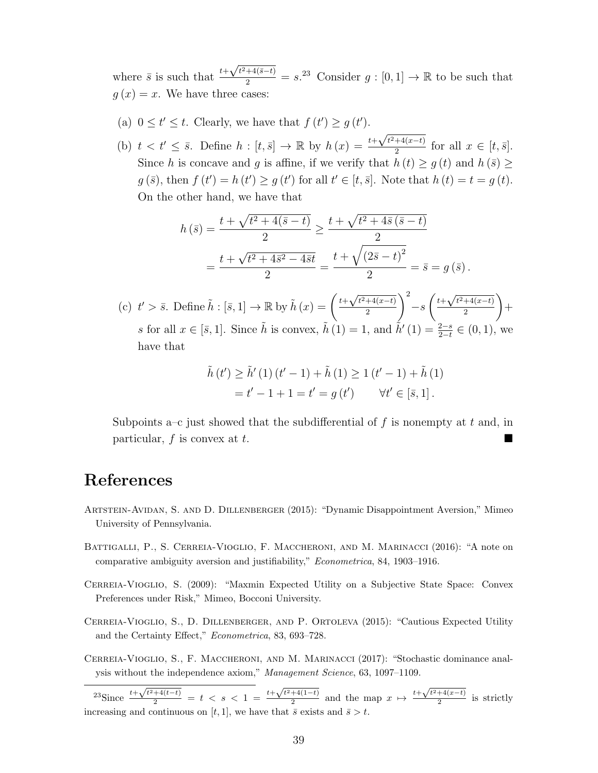where  $\bar{s}$  is such that  $t+$  $\frac{\sqrt{t^2+4(\bar{s}-t)}}{2} = s^{23}$  Consider  $g: [0,1] \to \mathbb{R}$  to be such that  $g(x) = x$ . We have three cases:

- (a)  $0 \le t' \le t$ . Clearly, we have that  $f(t') \ge g(t')$ .
- (b)  $t < t' \leq \overline{s}$ . Define  $h : [t, \overline{s}] \to \mathbb{R}$  by  $h(x) = \frac{t+1}{s}$  $\sqrt{t^2+4(x-t)}$  $\frac{1}{2}$  for all  $x \in [t, \bar{s}]$ . Since h is concave and g is affine, if we verify that  $h(t) \geq g(t)$  and  $h(\bar{s}) \geq$  $g(\bar{s})$ , then  $f(t') = h(t') \ge g(t')$  for all  $t' \in [t, \bar{s}]$ . Note that  $h(t) = t = g(t)$ . On the other hand, we have that

$$
h(\bar{s}) = \frac{t + \sqrt{t^2 + 4(\bar{s} - t)}}{2} \ge \frac{t + \sqrt{t^2 + 4\bar{s}(\bar{s} - t)}}{2}
$$
  
= 
$$
\frac{t + \sqrt{t^2 + 4\bar{s}^2 - 4\bar{s}t}}{2} = \frac{t + \sqrt{(2\bar{s} - t)^2}}{2} = \bar{s} = g(\bar{s}).
$$

(c)  $t' > \bar{s}$ . Define  $\tilde{h}: [\bar{s}, 1] \to \mathbb{R}$  by  $\tilde{h}(x) = \left(\frac{t + \sqrt{t^2 + 4(x-t)}}{2}\right)$ 2  $\setminus^2$  $-s$  $\int t+\sqrt{t^2+4(x-t)}$ 2  $\setminus$  $+$ s for all  $x \in [\bar{s}, 1]$ . Since  $\tilde{h}$  is convex,  $\tilde{h}(1) = 1$ , and  $\tilde{h}'(1) = \frac{2-s}{2-t} \in (0, 1)$ , we have that

$$
\tilde{h}(t') \ge \tilde{h}'(1)(t'-1) + \tilde{h}(1) \ge 1(t'-1) + \tilde{h}(1)
$$
  
= t'-1+1 = t' = g(t') \qquad \forall t' \in [\bar{s}, 1].

Subpoints a–c just showed that the subdifferential of f is nonempty at t and, in particular,  $f$  is convex at  $t$ .

### References

- Artstein-Avidan, S. and D. Dillenberger (2015): "Dynamic Disappointment Aversion," Mimeo University of Pennsylvania.
- BATTIGALLI, P., S. CERREIA-VIOGLIO, F. MACCHERONI, AND M. MARINACCI (2016): "A note on comparative ambiguity aversion and justifiability," Econometrica, 84, 1903–1916.
- Cerreia-Vioglio, S. (2009): "Maxmin Expected Utility on a Subjective State Space: Convex Preferences under Risk," Mimeo, Bocconi University.
- Cerreia-Vioglio, S., D. Dillenberger, and P. Ortoleva (2015): "Cautious Expected Utility and the Certainty Effect," Econometrica, 83, 693–728.
- Cerreia-Vioglio, S., F. Maccheroni, and M. Marinacci (2017): "Stochastic dominance analysis without the independence axiom," Management Science, 63, 1097–1109.

 $^{23}$ Since  $^{t+}$  $\frac{\sqrt{t^2+4(t-t)}}{2} = t \leq s \leq 1 = \frac{t+1}{t}$  $\sqrt{t^2+4(1-t)}$  $\frac{+4(1-t)}{2}$  and the map  $x \mapsto \frac{t+\sqrt{t^2+4(x-t)}}{2}$  $\frac{1}{2}$  is strictly increasing and continuous on [t, 1], we have that  $\bar{s}$  exists and  $\bar{s} > t$ .